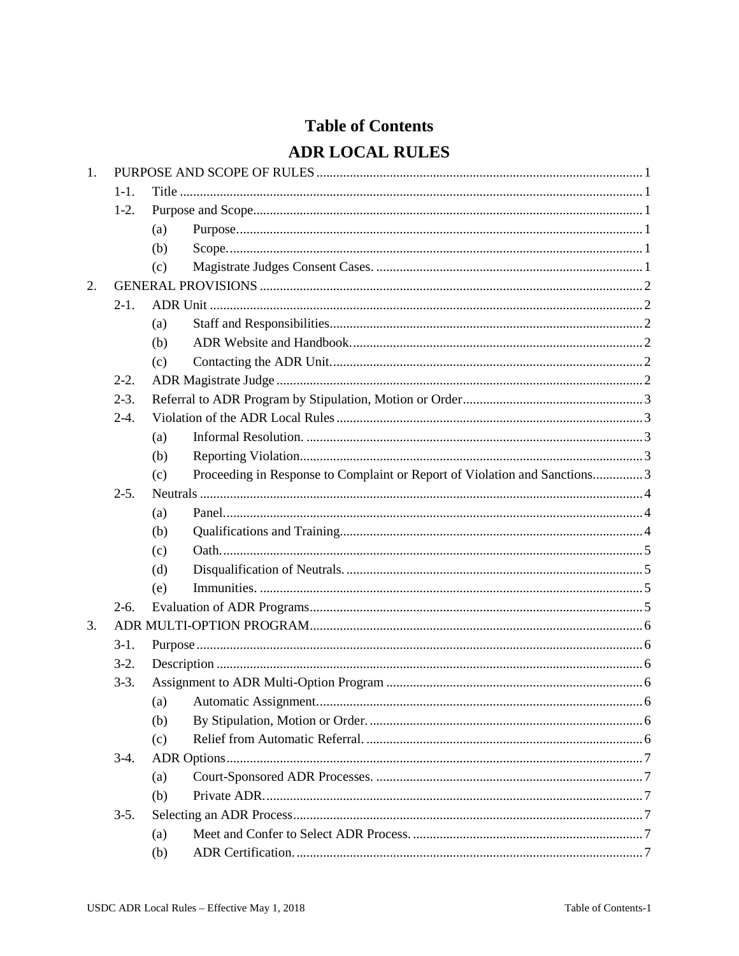# **Table of Contents**

# **ADR LOCAL RULES**

| 1. |           |     |                                                                           |  |  |
|----|-----------|-----|---------------------------------------------------------------------------|--|--|
|    | $1 - 1$ . |     |                                                                           |  |  |
|    | $1-2.$    |     |                                                                           |  |  |
|    |           | (a) |                                                                           |  |  |
|    |           | (b) |                                                                           |  |  |
|    |           | (c) |                                                                           |  |  |
| 2. |           |     |                                                                           |  |  |
|    | $2-1.$    |     |                                                                           |  |  |
|    |           | (a) |                                                                           |  |  |
|    |           | (b) |                                                                           |  |  |
|    |           | (c) |                                                                           |  |  |
|    | $2 - 2.$  |     |                                                                           |  |  |
|    | $2-3.$    |     |                                                                           |  |  |
|    | $2 - 4$ . |     |                                                                           |  |  |
|    |           | (a) |                                                                           |  |  |
|    |           | (b) |                                                                           |  |  |
|    |           | (c) | Proceeding in Response to Complaint or Report of Violation and Sanctions3 |  |  |
|    | $2-5.$    |     |                                                                           |  |  |
|    |           | (a) |                                                                           |  |  |
|    |           | (b) |                                                                           |  |  |
|    |           | (c) |                                                                           |  |  |
|    |           | (d) |                                                                           |  |  |
|    |           | (e) |                                                                           |  |  |
|    | $2-6.$    |     |                                                                           |  |  |
| 3. |           |     |                                                                           |  |  |
|    | $3-1.$    |     |                                                                           |  |  |
|    | $3-2.$    |     |                                                                           |  |  |
|    | $3-3.$    |     |                                                                           |  |  |
|    |           |     |                                                                           |  |  |
|    |           | (b) |                                                                           |  |  |
|    |           | (c) |                                                                           |  |  |
|    | $3-4.$    |     |                                                                           |  |  |
|    |           | (a) |                                                                           |  |  |
|    |           | (b) |                                                                           |  |  |
|    | $3-5.$    |     |                                                                           |  |  |
|    |           | (a) |                                                                           |  |  |
|    |           | (b) |                                                                           |  |  |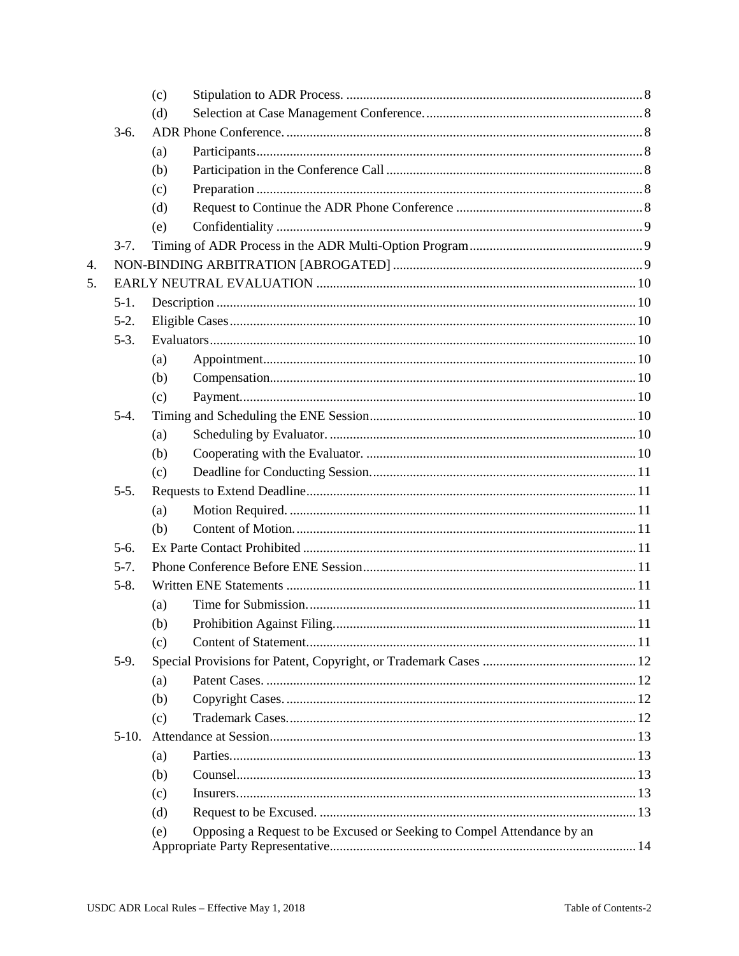|                  |         | (c) |                                                                        |  |  |  |
|------------------|---------|-----|------------------------------------------------------------------------|--|--|--|
|                  |         | (d) |                                                                        |  |  |  |
|                  | $3-6.$  |     |                                                                        |  |  |  |
|                  |         | (a) |                                                                        |  |  |  |
|                  |         | (b) |                                                                        |  |  |  |
|                  |         | (c) |                                                                        |  |  |  |
|                  |         | (d) |                                                                        |  |  |  |
|                  |         | (e) |                                                                        |  |  |  |
|                  | $3-7.$  |     |                                                                        |  |  |  |
| $\overline{4}$ . |         |     |                                                                        |  |  |  |
| 5.               |         |     |                                                                        |  |  |  |
|                  | $5-1.$  |     |                                                                        |  |  |  |
|                  | $5-2.$  |     |                                                                        |  |  |  |
|                  | $5-3.$  |     |                                                                        |  |  |  |
|                  |         | (a) |                                                                        |  |  |  |
|                  |         | (b) |                                                                        |  |  |  |
|                  |         | (c) |                                                                        |  |  |  |
|                  | $5-4.$  |     |                                                                        |  |  |  |
|                  |         | (a) |                                                                        |  |  |  |
|                  |         | (b) |                                                                        |  |  |  |
|                  |         | (c) |                                                                        |  |  |  |
|                  | $5-5.$  |     |                                                                        |  |  |  |
|                  |         | (a) |                                                                        |  |  |  |
|                  |         | (b) |                                                                        |  |  |  |
|                  | $5-6.$  |     |                                                                        |  |  |  |
|                  | $5-7.$  |     |                                                                        |  |  |  |
|                  | $5-8.$  |     |                                                                        |  |  |  |
|                  |         | (a) |                                                                        |  |  |  |
|                  |         | (b) |                                                                        |  |  |  |
|                  |         | (c) |                                                                        |  |  |  |
|                  | $5-9.$  |     |                                                                        |  |  |  |
|                  |         | (a) |                                                                        |  |  |  |
|                  |         | (b) |                                                                        |  |  |  |
|                  |         | (c) |                                                                        |  |  |  |
|                  | $5-10.$ |     |                                                                        |  |  |  |
|                  |         | (a) |                                                                        |  |  |  |
|                  |         | (b) |                                                                        |  |  |  |
|                  |         | (c) |                                                                        |  |  |  |
|                  |         | (d) |                                                                        |  |  |  |
|                  |         | (e) | Opposing a Request to be Excused or Seeking to Compel Attendance by an |  |  |  |
|                  |         |     |                                                                        |  |  |  |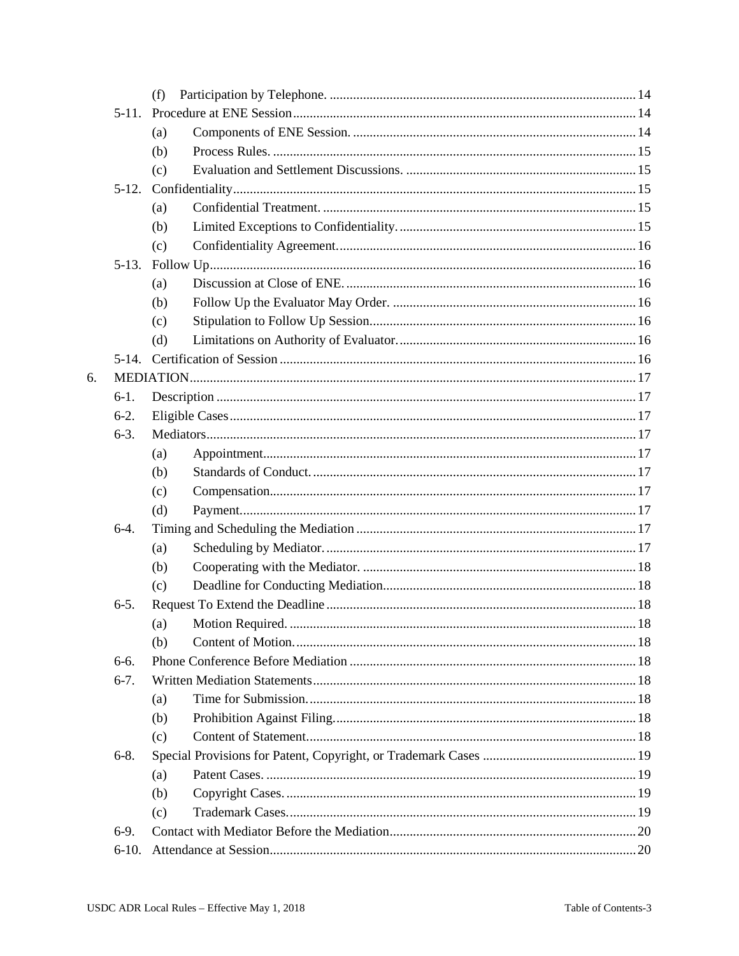|    |         | (f) |  |  |
|----|---------|-----|--|--|
|    | $5-11.$ |     |  |  |
|    |         | (a) |  |  |
|    |         | (b) |  |  |
|    |         | (c) |  |  |
|    | $5-12.$ |     |  |  |
|    |         | (a) |  |  |
|    |         | (b) |  |  |
|    |         | (c) |  |  |
|    | $5-13.$ |     |  |  |
|    |         | (a) |  |  |
|    |         | (b) |  |  |
|    |         | (c) |  |  |
|    |         | (d) |  |  |
|    |         |     |  |  |
| 6. |         |     |  |  |
|    | $6-1.$  |     |  |  |
|    | $6-2.$  |     |  |  |
|    | $6-3.$  |     |  |  |
|    |         | (a) |  |  |
|    |         | (b) |  |  |
|    |         | (c) |  |  |
|    |         | (d) |  |  |
|    | $6-4.$  |     |  |  |
|    |         | (a) |  |  |
|    |         | (b) |  |  |
|    |         | (c) |  |  |
|    | $6-5.$  |     |  |  |
|    |         | (a) |  |  |
|    |         | (b) |  |  |
|    | 6-6.    |     |  |  |
|    | $6-7.$  |     |  |  |
|    |         | (a) |  |  |
|    |         | (b) |  |  |
|    |         | (c) |  |  |
|    | $6-8.$  |     |  |  |
|    |         | (a) |  |  |
|    |         | (b) |  |  |
|    |         | (c) |  |  |
|    | $6-9.$  |     |  |  |
|    | $6-10.$ |     |  |  |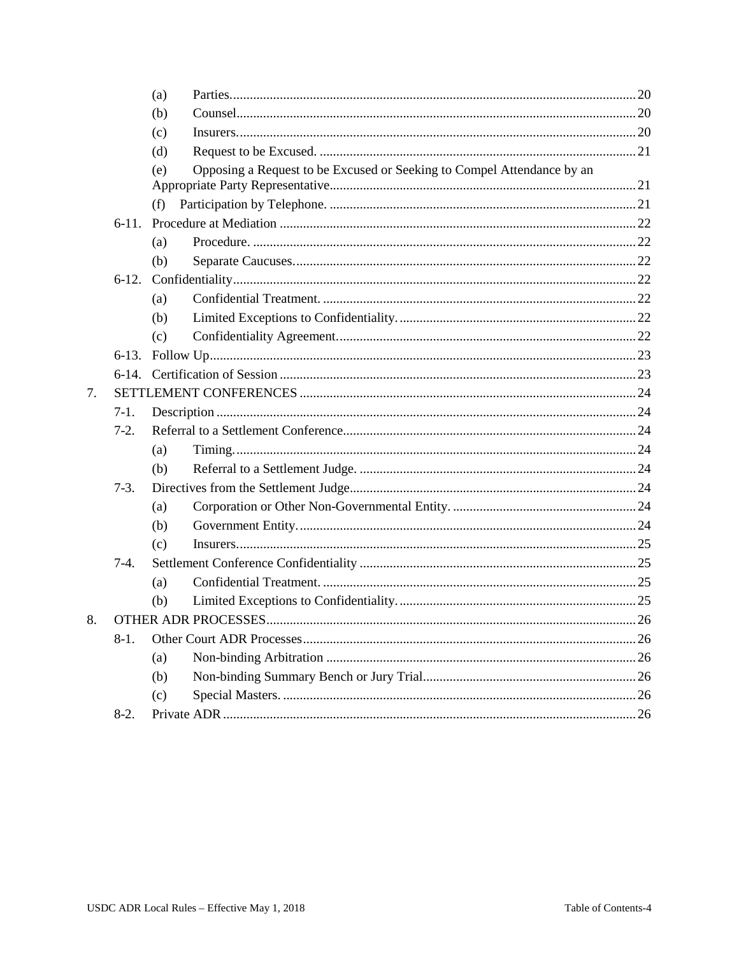|        |         | (a) |                                                                        |  |  |
|--------|---------|-----|------------------------------------------------------------------------|--|--|
|        |         | (b) |                                                                        |  |  |
|        |         | (c) |                                                                        |  |  |
|        |         | (d) |                                                                        |  |  |
|        |         | (e) | Opposing a Request to be Excused or Seeking to Compel Attendance by an |  |  |
|        |         | (f) |                                                                        |  |  |
|        | $6-11.$ |     |                                                                        |  |  |
|        |         | (a) |                                                                        |  |  |
|        |         | (b) |                                                                        |  |  |
|        | $6-12.$ |     |                                                                        |  |  |
|        |         | (a) |                                                                        |  |  |
|        |         | (b) |                                                                        |  |  |
|        |         | (c) |                                                                        |  |  |
|        | $6-13.$ |     |                                                                        |  |  |
|        |         |     |                                                                        |  |  |
| 7.     |         |     |                                                                        |  |  |
|        | $7-1.$  |     |                                                                        |  |  |
|        | $7-2.$  |     |                                                                        |  |  |
|        |         | (a) |                                                                        |  |  |
|        |         | (b) |                                                                        |  |  |
|        | $7-3.$  |     |                                                                        |  |  |
|        |         | (a) |                                                                        |  |  |
|        |         | (b) |                                                                        |  |  |
|        |         | (c) |                                                                        |  |  |
| $7-4.$ |         |     |                                                                        |  |  |
|        |         | (a) |                                                                        |  |  |
|        |         | (b) |                                                                        |  |  |
| 8.     |         |     |                                                                        |  |  |
|        | $8-1.$  |     |                                                                        |  |  |
|        |         | (a) |                                                                        |  |  |
|        |         | (b) |                                                                        |  |  |
|        |         | (c) |                                                                        |  |  |
|        | $8-2.$  |     |                                                                        |  |  |
|        |         |     |                                                                        |  |  |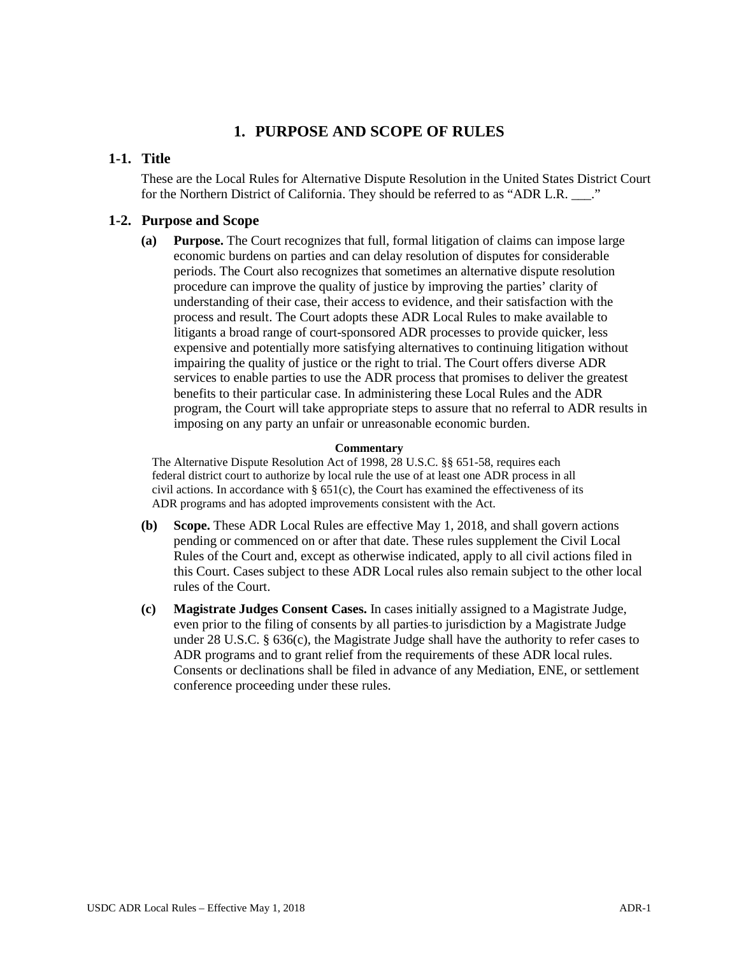## **1. PURPOSE AND SCOPE OF RULES**

#### <span id="page-4-1"></span><span id="page-4-0"></span>**1-1. Title**

These are the Local Rules for Alternative Dispute Resolution in the United States District Court for the Northern District of California. They should be referred to as "ADR L.R. \_\_\_."

## <span id="page-4-3"></span><span id="page-4-2"></span>**1-2. Purpose and Scope**

**(a) Purpose.** The Court recognizes that full, formal litigation of claims can impose large economic burdens on parties and can delay resolution of disputes for considerable periods. The Court also recognizes that sometimes an alternative dispute resolution procedure can improve the quality of justice by improving the parties' clarity of understanding of their case, their access to evidence, and their satisfaction with the process and result. The Court adopts these ADR Local Rules to make available to litigants a broad range of court-sponsored ADR processes to provide quicker, less expensive and potentially more satisfying alternatives to continuing litigation without impairing the quality of justice or the right to trial. The Court offers diverse ADR services to enable parties to use the ADR process that promises to deliver the greatest benefits to their particular case. In administering these Local Rules and the ADR program, the Court will take appropriate steps to assure that no referral to ADR results in imposing on any party an unfair or unreasonable economic burden.

#### **Commentary**

The Alternative Dispute Resolution Act of 1998, 28 U.S.C. §§ 651-58, requires each federal district court to authorize by local rule the use of at least one ADR process in all civil actions. In accordance with  $\S$  651(c), the Court has examined the effectiveness of its ADR programs and has adopted improvements consistent with the Act.

- <span id="page-4-4"></span>**(b) Scope.** These ADR Local Rules are effective May 1, 2018, and shall govern actions pending or commenced on or after that date. These rules supplement the Civil Local Rules of the Court and, except as otherwise indicated, apply to all civil actions filed in this Court. Cases subject to these ADR Local rules also remain subject to the other local rules of the Court.
- <span id="page-4-5"></span>**(c) Magistrate Judges Consent Cases.** In cases initially assigned to a Magistrate Judge, even prior to the filing of consents by all parties to jurisdiction by a Magistrate Judge under 28 U.S.C. § 636(c), the Magistrate Judge shall have the authority to refer cases to ADR programs and to grant relief from the requirements of these ADR local rules. Consents or declinations shall be filed in advance of any Mediation, ENE, or settlement conference proceeding under these rules.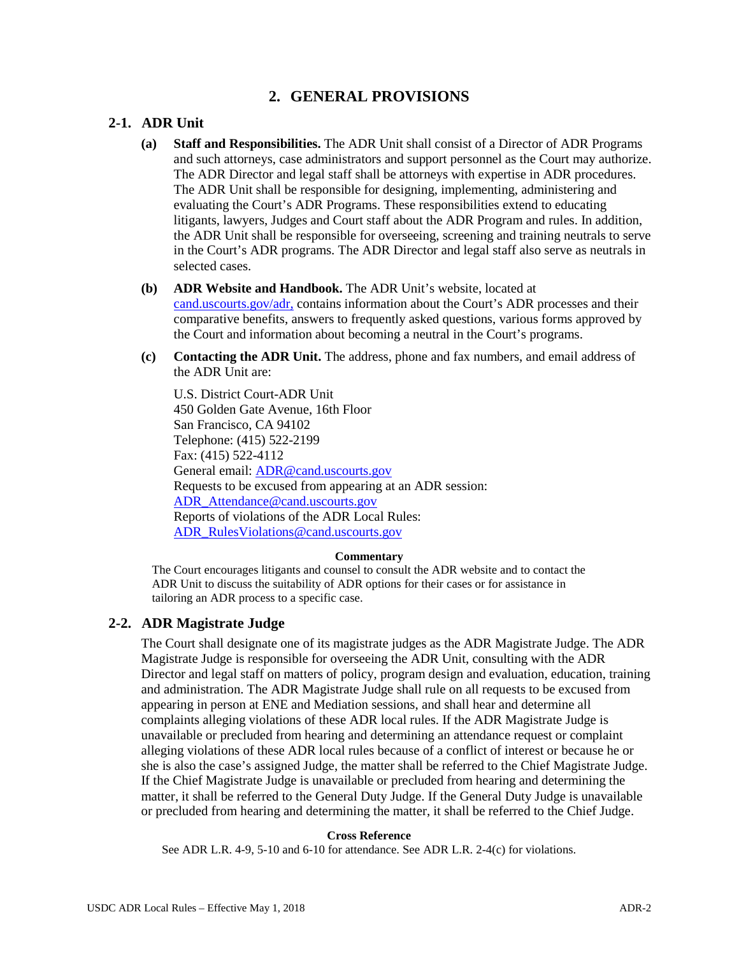## **2. GENERAL PROVISIONS**

### <span id="page-5-2"></span><span id="page-5-1"></span><span id="page-5-0"></span>**2-1. ADR Unit**

- **(a) Staff and Responsibilities.** The ADR Unit shall consist of a Director of ADR Programs and such attorneys, case administrators and support personnel as the Court may authorize. The ADR Director and legal staff shall be attorneys with expertise in ADR procedures. The ADR Unit shall be responsible for designing, implementing, administering and evaluating the Court's ADR Programs. These responsibilities extend to educating litigants, lawyers, Judges and Court staff about the ADR Program and rules. In addition, the ADR Unit shall be responsible for overseeing, screening and training neutrals to serve in the Court's ADR programs. The ADR Director and legal staff also serve as neutrals in selected cases.
- <span id="page-5-3"></span>**(b) ADR Website and Handbook.** The ADR Unit's website, located at [cand.uscourts.gov/adr,](http://cand.uscourts.gov/adr,) contains information about the Court's ADR processes and their comparative benefits, answers to frequently asked questions, various forms approved by the Court and information about becoming a neutral in the Court's programs.
- <span id="page-5-4"></span>**(c) Contacting the ADR Unit.** The address, phone and fax numbers, and email address of the ADR Unit are:

U.S. District Court-ADR Unit 450 Golden Gate Avenue, 16th Floor San Francisco, CA 94102 Telephone: (415) 522-2199 Fax: (415) 522-4112 General email: [ADR@cand.uscourts.gov](mailto:ADR@cand.uscourts.gov) Requests to be excused from appearing at an ADR session: [ADR\\_Attendance@cand.uscourts.gov](mailto:ADRAttendance@cand.uscourts.gov) Reports of violations of the ADR Local Rules: [ADR\\_RulesViolations@cand.uscourts.gov](mailto:ADR_Rules_Violations@cand.uscourts.gov)

#### **Commentary**

The Court encourages litigants and counsel to consult the ADR website and to contact the ADR Unit to discuss the suitability of ADR options for their cases or for assistance in tailoring an ADR process to a specific case.

#### <span id="page-5-5"></span>**2-2. ADR Magistrate Judge**

The Court shall designate one of its magistrate judges as the ADR Magistrate Judge. The ADR Magistrate Judge is responsible for overseeing the ADR Unit, consulting with the ADR Director and legal staff on matters of policy, program design and evaluation, education, training and administration. The ADR Magistrate Judge shall rule on all requests to be excused from appearing in person at ENE and Mediation sessions, and shall hear and determine all complaints alleging violations of these ADR local rules. If the ADR Magistrate Judge is unavailable or precluded from hearing and determining an attendance request or complaint alleging violations of these ADR local rules because of a conflict of interest or because he or she is also the case's assigned Judge, the matter shall be referred to the Chief Magistrate Judge. If the Chief Magistrate Judge is unavailable or precluded from hearing and determining the matter, it shall be referred to the General Duty Judge. If the General Duty Judge is unavailable or precluded from hearing and determining the matter, it shall be referred to the Chief Judge.

#### **Cross Reference**

See ADR L.R. 4-9, 5-10 and 6-10 for attendance. See ADR L.R. 2-4(c) for violations.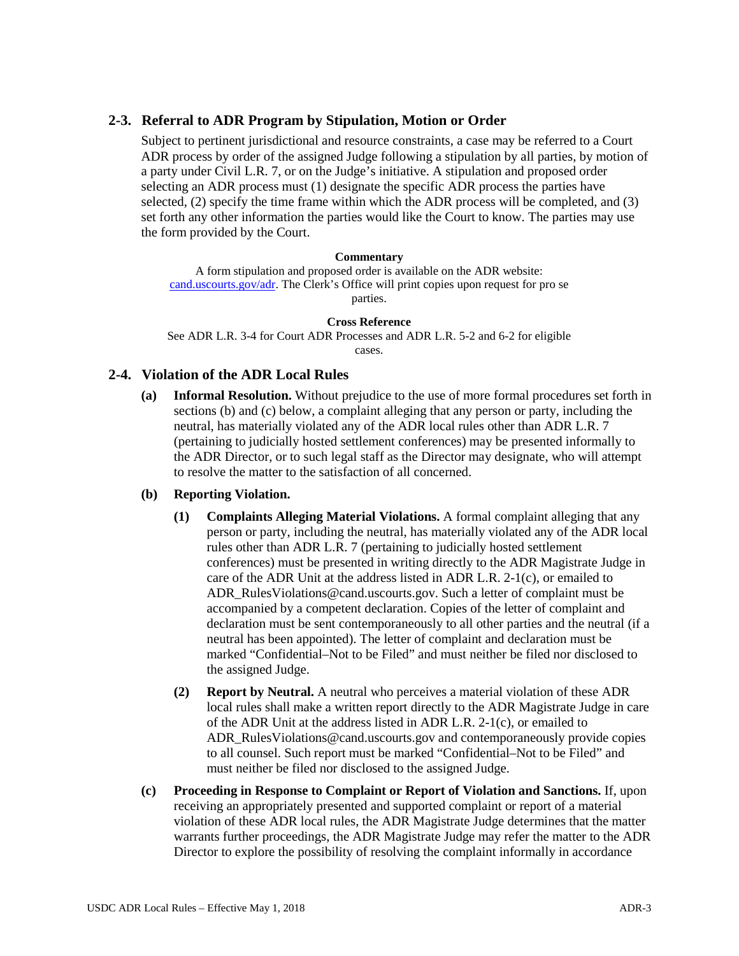## <span id="page-6-0"></span>**2-3. Referral to ADR Program by Stipulation, Motion or Order**

Subject to pertinent jurisdictional and resource constraints, a case may be referred to a Court ADR process by order of the assigned Judge following a stipulation by all parties, by motion of a party under Civil L.R. 7, or on the Judge's initiative. A stipulation and proposed order selecting an ADR process must (1) designate the specific ADR process the parties have selected, (2) specify the time frame within which the ADR process will be completed, and (3) set forth any other information the parties would like the Court to know. The parties may use the form provided by the Court.

#### **Commentary**

A form stipulation and proposed order is available on the ADR website: [cand.uscourts.gov/adr.](http://www.adr.cand.uscourts.gov/) The Clerk's Office will print copies upon request for pro se parties.

#### **Cross Reference**

See ADR L.R. 3-4 for Court ADR Processes and ADR L.R. 5-2 and 6-2 for eligible cases.

### <span id="page-6-2"></span><span id="page-6-1"></span>**2-4. Violation of the ADR Local Rules**

**(a) Informal Resolution.** Without prejudice to the use of more formal procedures set forth in sections (b) and (c) below, a complaint alleging that any person or party, including the neutral, has materially violated any of the ADR local rules other than ADR L.R. 7 (pertaining to judicially hosted settlement conferences) may be presented informally to the ADR Director, or to such legal staff as the Director may designate, who will attempt to resolve the matter to the satisfaction of all concerned.

#### <span id="page-6-3"></span>**(b) Reporting Violation.**

- **(1) Complaints Alleging Material Violations.** A formal complaint alleging that any person or party, including the neutral, has materially violated any of the ADR local rules other than ADR L.R. 7 (pertaining to judicially hosted settlement conferences) must be presented in writing directly to the ADR Magistrate Judge in care of the ADR Unit at the address listed in ADR L.R. 2-1(c), or emailed to ADR\_RulesViolations@cand.uscourts.gov. Such a letter of complaint must be accompanied by a competent declaration. Copies of the letter of complaint and declaration must be sent contemporaneously to all other parties and the neutral (if a neutral has been appointed). The letter of complaint and declaration must be marked "Confidential–Not to be Filed" and must neither be filed nor disclosed to the assigned Judge.
- **(2) Report by Neutral.** A neutral who perceives a material violation of these ADR local rules shall make a written report directly to the ADR Magistrate Judge in care of the ADR Unit at the address listed in ADR L.R. 2-1(c), or emailed to ADR\_RulesViolations@cand.uscourts.gov and contemporaneously provide copies to all counsel. Such report must be marked "Confidential–Not to be Filed" and must neither be filed nor disclosed to the assigned Judge.
- <span id="page-6-4"></span>**(c) Proceeding in Response to Complaint or Report of Violation and Sanctions.** If, upon receiving an appropriately presented and supported complaint or report of a material violation of these ADR local rules, the ADR Magistrate Judge determines that the matter warrants further proceedings, the ADR Magistrate Judge may refer the matter to the ADR Director to explore the possibility of resolving the complaint informally in accordance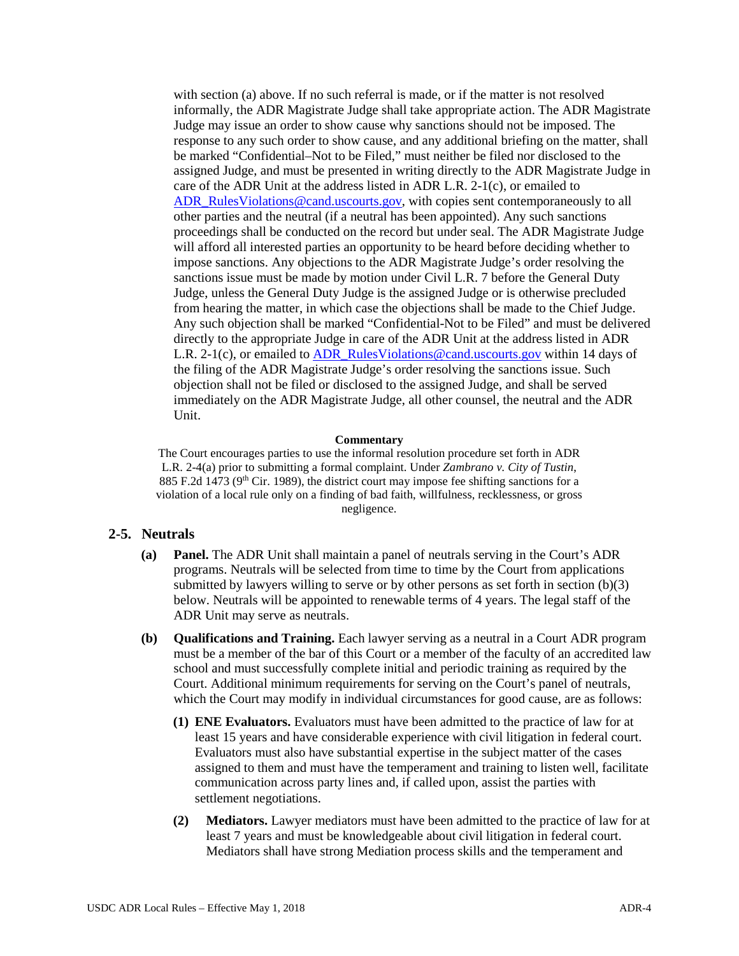with section (a) above. If no such referral is made, or if the matter is not resolved informally, the ADR Magistrate Judge shall take appropriate action. The ADR Magistrate Judge may issue an order to show cause why sanctions should not be imposed. The response to any such order to show cause, and any additional briefing on the matter, shall be marked "Confidential–Not to be Filed," must neither be filed nor disclosed to the assigned Judge, and must be presented in writing directly to the ADR Magistrate Judge in care of the ADR Unit at the address listed in ADR L.R. 2-1(c), or emailed to [ADR\\_RulesViolations@cand.uscourts.gov,](mailto:ADR_RulesViolations@cand.uscourts.gov) with copies sent contemporaneously to all other parties and the neutral (if a neutral has been appointed). Any such sanctions proceedings shall be conducted on the record but under seal. The ADR Magistrate Judge will afford all interested parties an opportunity to be heard before deciding whether to impose sanctions. Any objections to the ADR Magistrate Judge's order resolving the sanctions issue must be made by motion under Civil L.R. 7 before the General Duty Judge, unless the General Duty Judge is the assigned Judge or is otherwise precluded from hearing the matter, in which case the objections shall be made to the Chief Judge. Any such objection shall be marked "Confidential-Not to be Filed" and must be delivered directly to the appropriate Judge in care of the ADR Unit at the address listed in ADR L.R. 2-1(c), or emailed to [ADR\\_RulesViolations@cand.uscourts.gov](mailto:ADR_RulesViolations@cand.uscourts.gov) within 14 days of the filing of the ADR Magistrate Judge's order resolving the sanctions issue. Such objection shall not be filed or disclosed to the assigned Judge, and shall be served immediately on the ADR Magistrate Judge, all other counsel, the neutral and the ADR Unit.

#### **Commentary**

The Court encourages parties to use the informal resolution procedure set forth in ADR L.R. 2-4(a) prior to submitting a formal complaint. Under *Zambrano v. City of Tustin*, 885 F.2d 1473 (9<sup>th</sup> Cir. 1989), the district court may impose fee shifting sanctions for a violation of a local rule only on a finding of bad faith, willfulness, recklessness, or gross negligence.

#### <span id="page-7-1"></span><span id="page-7-0"></span>**2-5. Neutrals**

- **(a) Panel.** The ADR Unit shall maintain a panel of neutrals serving in the Court's ADR programs. Neutrals will be selected from time to time by the Court from applications submitted by lawyers willing to serve or by other persons as set forth in section (b)(3) below. Neutrals will be appointed to renewable terms of 4 years. The legal staff of the ADR Unit may serve as neutrals.
- <span id="page-7-2"></span>**(b) Qualifications and Training.** Each lawyer serving as a neutral in a Court ADR program must be a member of the bar of this Court or a member of the faculty of an accredited law school and must successfully complete initial and periodic training as required by the Court. Additional minimum requirements for serving on the Court's panel of neutrals, which the Court may modify in individual circumstances for good cause, are as follows:
	- **(1) ENE Evaluators.** Evaluators must have been admitted to the practice of law for at least 15 years and have considerable experience with civil litigation in federal court. Evaluators must also have substantial expertise in the subject matter of the cases assigned to them and must have the temperament and training to listen well, facilitate communication across party lines and, if called upon, assist the parties with settlement negotiations.
	- **(2) Mediators.** Lawyer mediators must have been admitted to the practice of law for at least 7 years and must be knowledgeable about civil litigation in federal court. Mediators shall have strong Mediation process skills and the temperament and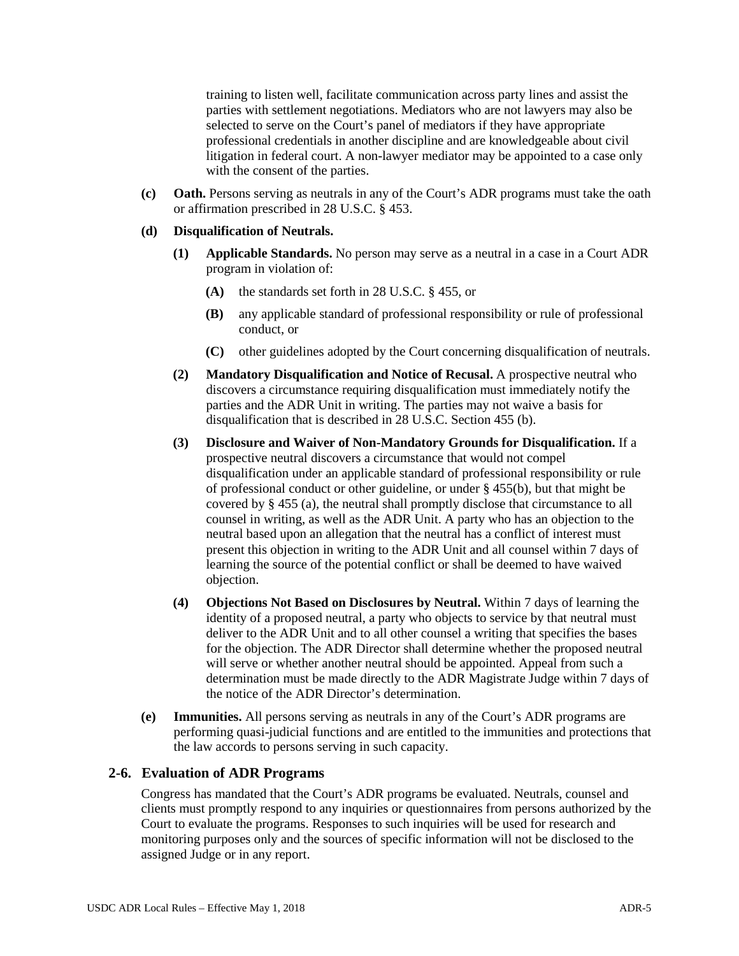training to listen well, facilitate communication across party lines and assist the parties with settlement negotiations. Mediators who are not lawyers may also be selected to serve on the Court's panel of mediators if they have appropriate professional credentials in another discipline and are knowledgeable about civil litigation in federal court. A non-lawyer mediator may be appointed to a case only with the consent of the parties.

<span id="page-8-0"></span>**(c) Oath.** Persons serving as neutrals in any of the Court's ADR programs must take the oath or affirmation prescribed in 28 U.S.C. § 453.

#### <span id="page-8-1"></span>**(d) Disqualification of Neutrals.**

- **(1) Applicable Standards.** No person may serve as a neutral in a case in a Court ADR program in violation of:
	- **(A)** the standards set forth in 28 U.S.C. § 455, or
	- **(B)** any applicable standard of professional responsibility or rule of professional conduct, or
	- **(C)** other guidelines adopted by the Court concerning disqualification of neutrals.
- **(2) Mandatory Disqualification and Notice of Recusal.** A prospective neutral who discovers a circumstance requiring disqualification must immediately notify the parties and the ADR Unit in writing. The parties may not waive a basis for disqualification that is described in 28 U.S.C. Section 455 (b).
- **(3) Disclosure and Waiver of Non-Mandatory Grounds for Disqualification.** If a prospective neutral discovers a circumstance that would not compel disqualification under an applicable standard of professional responsibility or rule of professional conduct or other guideline, or under § 455(b), but that might be covered by § 455 (a), the neutral shall promptly disclose that circumstance to all counsel in writing, as well as the ADR Unit. A party who has an objection to the neutral based upon an allegation that the neutral has a conflict of interest must present this objection in writing to the ADR Unit and all counsel within 7 days of learning the source of the potential conflict or shall be deemed to have waived objection.
- **(4) Objections Not Based on Disclosures by Neutral.** Within 7 days of learning the identity of a proposed neutral, a party who objects to service by that neutral must deliver to the ADR Unit and to all other counsel a writing that specifies the bases for the objection. The ADR Director shall determine whether the proposed neutral will serve or whether another neutral should be appointed. Appeal from such a determination must be made directly to the ADR Magistrate Judge within 7 days of the notice of the ADR Director's determination.
- <span id="page-8-2"></span>**(e) Immunities.** All persons serving as neutrals in any of the Court's ADR programs are performing quasi-judicial functions and are entitled to the immunities and protections that the law accords to persons serving in such capacity.

## <span id="page-8-3"></span>**2-6. Evaluation of ADR Programs**

Congress has mandated that the Court's ADR programs be evaluated. Neutrals, counsel and clients must promptly respond to any inquiries or questionnaires from persons authorized by the Court to evaluate the programs. Responses to such inquiries will be used for research and monitoring purposes only and the sources of specific information will not be disclosed to the assigned Judge or in any report.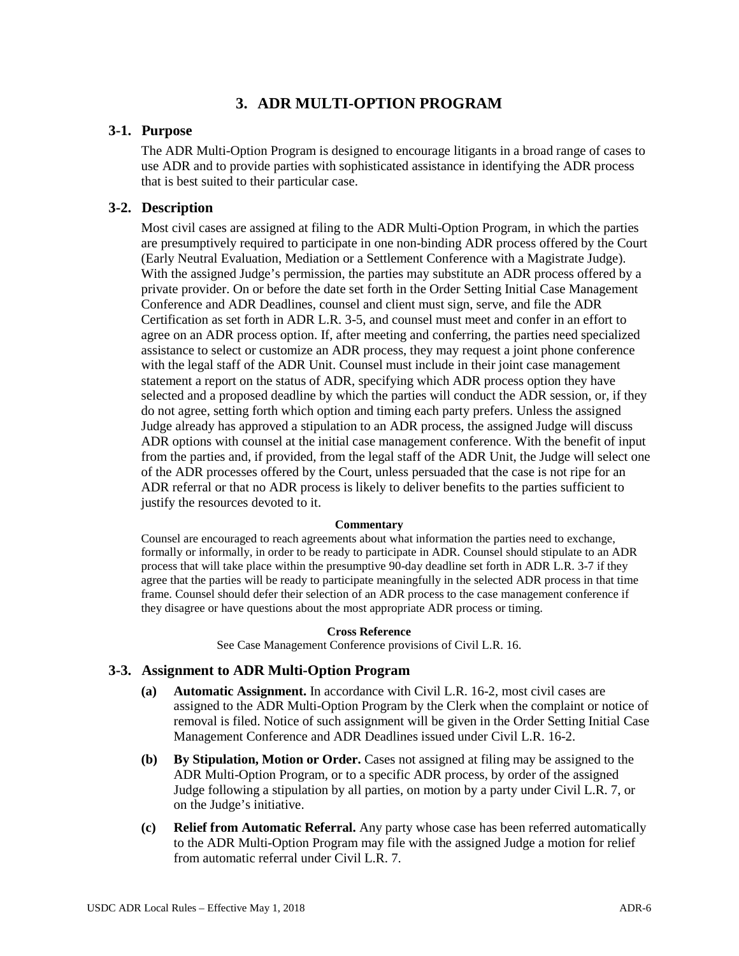## **3. ADR MULTI-OPTION PROGRAM**

#### <span id="page-9-1"></span><span id="page-9-0"></span>**3-1. Purpose**

The ADR Multi-Option Program is designed to encourage litigants in a broad range of cases to use ADR and to provide parties with sophisticated assistance in identifying the ADR process that is best suited to their particular case.

#### <span id="page-9-2"></span>**3-2. Description**

Most civil cases are assigned at filing to the ADR Multi-Option Program, in which the parties are presumptively required to participate in one non-binding ADR process offered by the Court (Early Neutral Evaluation, Mediation or a Settlement Conference with a Magistrate Judge). With the assigned Judge's permission, the parties may substitute an ADR process offered by a private provider. On or before the date set forth in the Order Setting Initial Case Management Conference and ADR Deadlines, counsel and client must sign, serve, and file the ADR Certification as set forth in ADR L.R. 3-5, and counsel must meet and confer in an effort to agree on an ADR process option. If, after meeting and conferring, the parties need specialized assistance to select or customize an ADR process, they may request a joint phone conference with the legal staff of the ADR Unit. Counsel must include in their joint case management statement a report on the status of ADR, specifying which ADR process option they have selected and a proposed deadline by which the parties will conduct the ADR session, or, if they do not agree, setting forth which option and timing each party prefers. Unless the assigned Judge already has approved a stipulation to an ADR process, the assigned Judge will discuss ADR options with counsel at the initial case management conference. With the benefit of input from the parties and, if provided, from the legal staff of the ADR Unit, the Judge will select one of the ADR processes offered by the Court, unless persuaded that the case is not ripe for an ADR referral or that no ADR process is likely to deliver benefits to the parties sufficient to justify the resources devoted to it.

#### **Commentary**

Counsel are encouraged to reach agreements about what information the parties need to exchange, formally or informally, in order to be ready to participate in ADR. Counsel should stipulate to an ADR process that will take place within the presumptive 90-day deadline set forth in ADR L.R. 3-7 if they agree that the parties will be ready to participate meaningfully in the selected ADR process in that time frame. Counsel should defer their selection of an ADR process to the case management conference if they disagree or have questions about the most appropriate ADR process or timing.

#### **Cross Reference**

See Case Management Conference provisions of Civil L.R. 16.

#### <span id="page-9-4"></span><span id="page-9-3"></span>**3-3. Assignment to ADR Multi-Option Program**

- **(a) Automatic Assignment.** In accordance with Civil L.R. 16-2, most civil cases are assigned to the ADR Multi-Option Program by the Clerk when the complaint or notice of removal is filed. Notice of such assignment will be given in the Order Setting Initial Case Management Conference and ADR Deadlines issued under Civil L.R. 16-2.
- <span id="page-9-5"></span>**(b) By Stipulation, Motion or Order.** Cases not assigned at filing may be assigned to the ADR Multi-Option Program, or to a specific ADR process, by order of the assigned Judge following a stipulation by all parties, on motion by a party under Civil L.R. 7, or on the Judge's initiative.
- <span id="page-9-6"></span>**(c) Relief from Automatic Referral.** Any party whose case has been referred automatically to the ADR Multi-Option Program may file with the assigned Judge a motion for relief from automatic referral under Civil L.R. 7.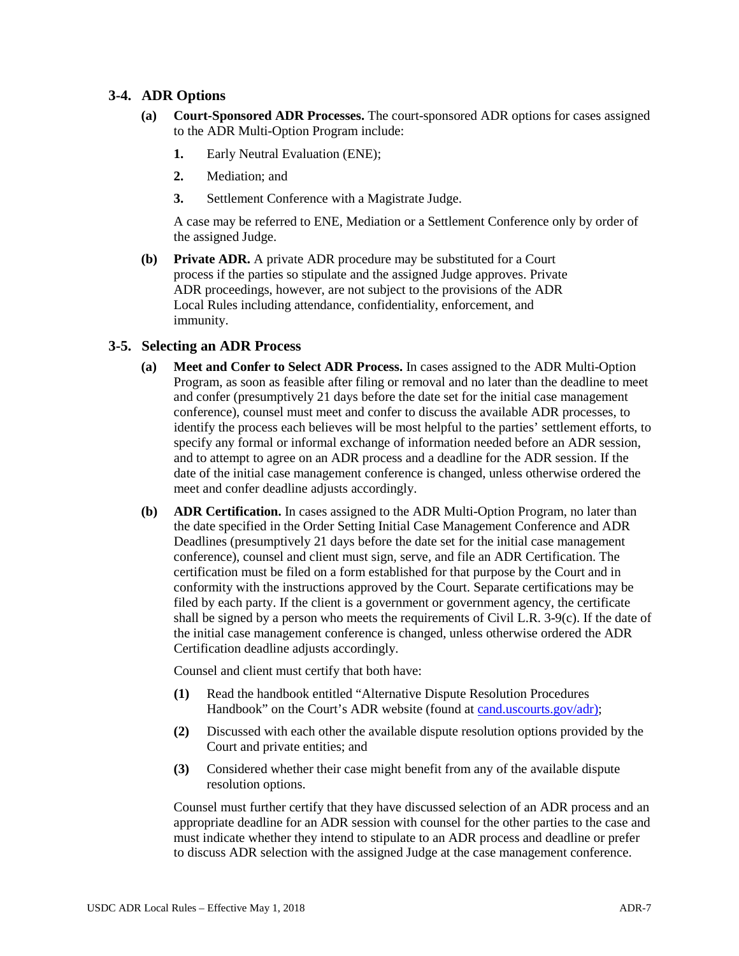## <span id="page-10-1"></span><span id="page-10-0"></span>**3-4. ADR Options**

- **(a) Court-Sponsored ADR Processes.** The court-sponsored ADR options for cases assigned to the ADR Multi-Option Program include:
	- **1.** Early Neutral Evaluation (ENE);
	- **2.** Mediation; and
	- **3.** Settlement Conference with a Magistrate Judge.

A case may be referred to ENE, Mediation or a Settlement Conference only by order of the assigned Judge.

<span id="page-10-2"></span>**(b) Private ADR.** A private ADR procedure may be substituted for a Court process if the parties so stipulate and the assigned Judge approves. Private ADR proceedings, however, are not subject to the provisions of the ADR Local Rules including attendance, confidentiality, enforcement, and immunity.

#### <span id="page-10-4"></span><span id="page-10-3"></span>**3-5. Selecting an ADR Process**

- **(a) Meet and Confer to Select ADR Process.** In cases assigned to the ADR Multi-Option Program, as soon as feasible after filing or removal and no later than the deadline to meet and confer (presumptively 21 days before the date set for the initial case management conference), counsel must meet and confer to discuss the available ADR processes, to identify the process each believes will be most helpful to the parties' settlement efforts, to specify any formal or informal exchange of information needed before an ADR session, and to attempt to agree on an ADR process and a deadline for the ADR session. If the date of the initial case management conference is changed, unless otherwise ordered the meet and confer deadline adjusts accordingly.
- <span id="page-10-5"></span>**(b) ADR Certification.** In cases assigned to the ADR Multi-Option Program, no later than the date specified in the Order Setting Initial Case Management Conference and ADR Deadlines (presumptively 21 days before the date set for the initial case management conference), counsel and client must sign, serve, and file an ADR Certification. The certification must be filed on a form established for that purpose by the Court and in conformity with the instructions approved by the Court. Separate certifications may be filed by each party. If the client is a government or government agency, the certificate shall be signed by a person who meets the requirements of Civil L.R. 3-9(c). If the date of the initial case management conference is changed, unless otherwise ordered the ADR Certification deadline adjusts accordingly.

Counsel and client must certify that both have:

- **(1)** Read the handbook entitled "Alternative Dispute Resolution Procedures Handbook" on the Court's ADR website (found at [cand.uscourts.gov/adr\)](http://www.adr.cand.uscourts.gov/);
- **(2)** Discussed with each other the available dispute resolution options provided by the Court and private entities; and
- **(3)** Considered whether their case might benefit from any of the available dispute resolution options.

Counsel must further certify that they have discussed selection of an ADR process and an appropriate deadline for an ADR session with counsel for the other parties to the case and must indicate whether they intend to stipulate to an ADR process and deadline or prefer to discuss ADR selection with the assigned Judge at the case management conference.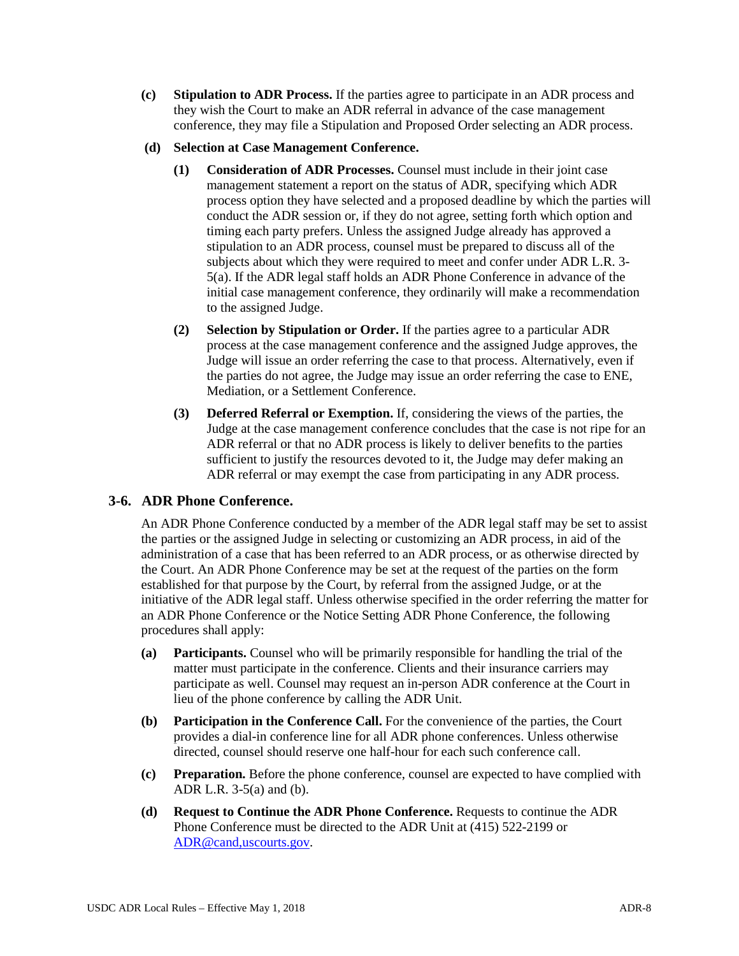<span id="page-11-0"></span>**(c) Stipulation to ADR Process.** If the parties agree to participate in an ADR process and they wish the Court to make an ADR referral in advance of the case management conference, they may file a Stipulation and Proposed Order selecting an ADR process.

### <span id="page-11-1"></span>**(d) Selection at Case Management Conference.**

- **(1) Consideration of ADR Processes.** Counsel must include in their joint case management statement a report on the status of ADR, specifying which ADR process option they have selected and a proposed deadline by which the parties will conduct the ADR session or, if they do not agree, setting forth which option and timing each party prefers. Unless the assigned Judge already has approved a stipulation to an ADR process, counsel must be prepared to discuss all of the subjects about which they were required to meet and confer under ADR L.R. 3- 5(a). If the ADR legal staff holds an ADR Phone Conference in advance of the initial case management conference, they ordinarily will make a recommendation to the assigned Judge.
- **(2) Selection by Stipulation or Order.** If the parties agree to a particular ADR process at the case management conference and the assigned Judge approves, the Judge will issue an order referring the case to that process. Alternatively, even if the parties do not agree, the Judge may issue an order referring the case to ENE, Mediation, or a Settlement Conference.
- **(3) Deferred Referral or Exemption.** If, considering the views of the parties, the Judge at the case management conference concludes that the case is not ripe for an ADR referral or that no ADR process is likely to deliver benefits to the parties sufficient to justify the resources devoted to it, the Judge may defer making an ADR referral or may exempt the case from participating in any ADR process.

## <span id="page-11-2"></span>**3-6. ADR Phone Conference.**

An ADR Phone Conference conducted by a member of the ADR legal staff may be set to assist the parties or the assigned Judge in selecting or customizing an ADR process, in aid of the administration of a case that has been referred to an ADR process, or as otherwise directed by the Court. An ADR Phone Conference may be set at the request of the parties on the form established for that purpose by the Court, by referral from the assigned Judge, or at the initiative of the ADR legal staff. Unless otherwise specified in the order referring the matter for an ADR Phone Conference or the Notice Setting ADR Phone Conference, the following procedures shall apply:

- <span id="page-11-3"></span>**(a) Participants.** Counsel who will be primarily responsible for handling the trial of the matter must participate in the conference. Clients and their insurance carriers may participate as well. Counsel may request an in-person ADR conference at the Court in lieu of the phone conference by calling the ADR Unit.
- <span id="page-11-4"></span>**(b) Participation in the Conference Call.** For the convenience of the parties, the Court provides a dial-in conference line for all ADR phone conferences. Unless otherwise directed, counsel should reserve one half-hour for each such conference call.
- <span id="page-11-5"></span>**(c) Preparation.** Before the phone conference, counsel are expected to have complied with ADR L.R. 3-5(a) and (b).
- <span id="page-11-6"></span>**(d) Request to Continue the ADR Phone Conference.** Requests to continue the ADR Phone Conference must be directed to the ADR Unit at (415) 522-2199 or [ADR@cand,uscourts.gov.](mailto:ADR@cand,uscourts.gov)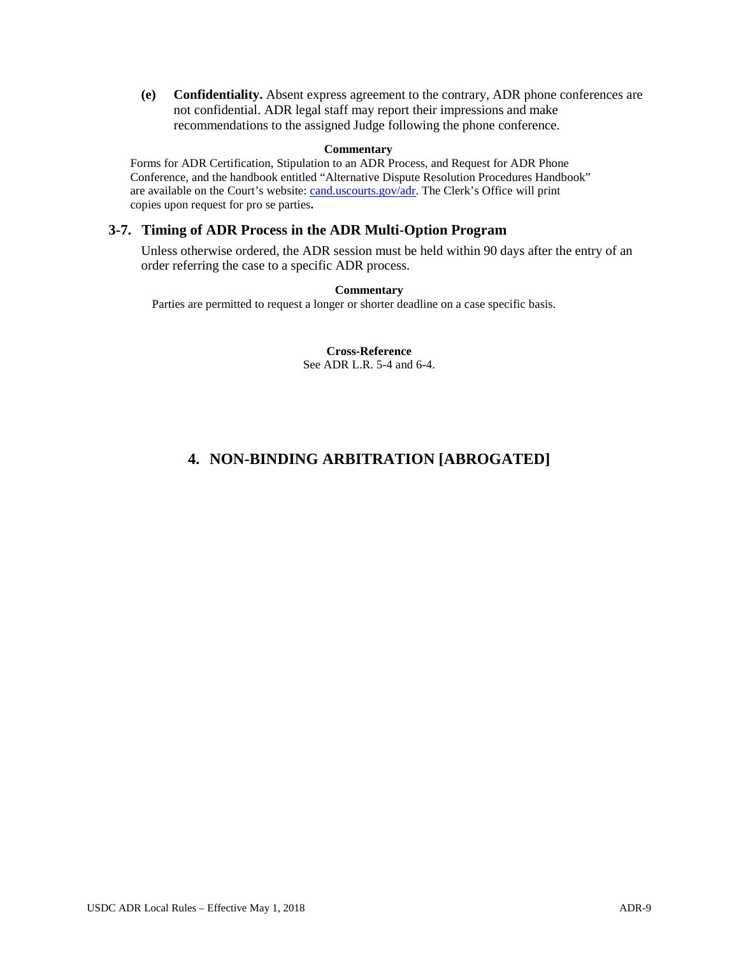<span id="page-12-0"></span>**(e) Confidentiality.** Absent express agreement to the contrary, ADR phone conferences are not confidential. ADR legal staff may report their impressions and make recommendations to the assigned Judge following the phone conference.

#### **Commentary**

Forms for ADR Certification, Stipulation to an ADR Process, and Request for ADR Phone Conference, and the handbook entitled "Alternative Dispute Resolution Procedures Handbook" are available on the Court's website: [cand.uscourts.gov/adr.](http://www.cand.uscourts.gov/adr) The Clerk's Office will print copies upon request for pro se parties**.**

## <span id="page-12-1"></span>**3-7. Timing of ADR Process in the ADR Multi-Option Program**

Unless otherwise ordered, the ADR session must be held within 90 days after the entry of an order referring the case to a specific ADR process.

#### **Commentary**

Parties are permitted to request a longer or shorter deadline on a case specific basis.

#### **Cross-Reference** See ADR L.R. 5-4 and 6-4.

## <span id="page-12-2"></span>**4. NON-BINDING ARBITRATION [ABROGATED]**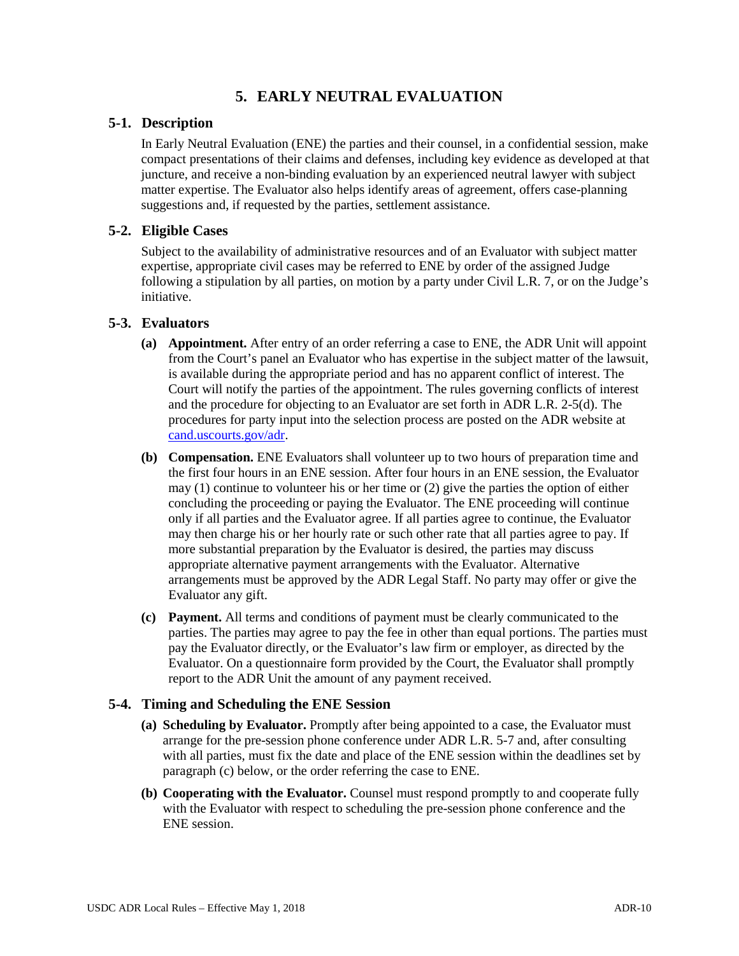## **5. EARLY NEUTRAL EVALUATION**

## <span id="page-13-1"></span><span id="page-13-0"></span>**5-1. Description**

In Early Neutral Evaluation (ENE) the parties and their counsel, in a confidential session, make compact presentations of their claims and defenses, including key evidence as developed at that juncture, and receive a non-binding evaluation by an experienced neutral lawyer with subject matter expertise. The Evaluator also helps identify areas of agreement, offers case-planning suggestions and, if requested by the parties, settlement assistance.

## <span id="page-13-2"></span>**5-2. Eligible Cases**

Subject to the availability of administrative resources and of an Evaluator with subject matter expertise, appropriate civil cases may be referred to ENE by order of the assigned Judge following a stipulation by all parties, on motion by a party under Civil L.R. 7, or on the Judge's initiative.

## <span id="page-13-4"></span><span id="page-13-3"></span>**5-3. Evaluators**

- **(a) Appointment.** After entry of an order referring a case to ENE, the ADR Unit will appoint from the Court's panel an Evaluator who has expertise in the subject matter of the lawsuit, is available during the appropriate period and has no apparent conflict of interest. The Court will notify the parties of the appointment. The rules governing conflicts of interest and the procedure for objecting to an Evaluator are set forth in ADR L.R. 2-5(d). The procedures for party input into the selection process are posted on the ADR website at [cand.uscourts.gov/adr.](http://cand.uscourts.gov/adr)
- <span id="page-13-5"></span>**(b) Compensation.** ENE Evaluators shall volunteer up to two hours of preparation time and the first four hours in an ENE session. After four hours in an ENE session, the Evaluator may (1) continue to volunteer his or her time or (2) give the parties the option of either concluding the proceeding or paying the Evaluator. The ENE proceeding will continue only if all parties and the Evaluator agree. If all parties agree to continue, the Evaluator may then charge his or her hourly rate or such other rate that all parties agree to pay. If more substantial preparation by the Evaluator is desired, the parties may discuss appropriate alternative payment arrangements with the Evaluator. Alternative arrangements must be approved by the ADR Legal Staff. No party may offer or give the Evaluator any gift.
- <span id="page-13-6"></span>**(c) Payment.** All terms and conditions of payment must be clearly communicated to the parties. The parties may agree to pay the fee in other than equal portions. The parties must pay the Evaluator directly, or the Evaluator's law firm or employer, as directed by the Evaluator. On a questionnaire form provided by the Court, the Evaluator shall promptly report to the ADR Unit the amount of any payment received.

## <span id="page-13-8"></span><span id="page-13-7"></span>**5-4. Timing and Scheduling the ENE Session**

- **(a) Scheduling by Evaluator.** Promptly after being appointed to a case, the Evaluator must arrange for the pre-session phone conference under ADR L.R. 5-7 and, after consulting with all parties, must fix the date and place of the ENE session within the deadlines set by paragraph (c) below, or the order referring the case to ENE.
- <span id="page-13-9"></span>**(b) Cooperating with the Evaluator.** Counsel must respond promptly to and cooperate fully with the Evaluator with respect to scheduling the pre-session phone conference and the ENE session.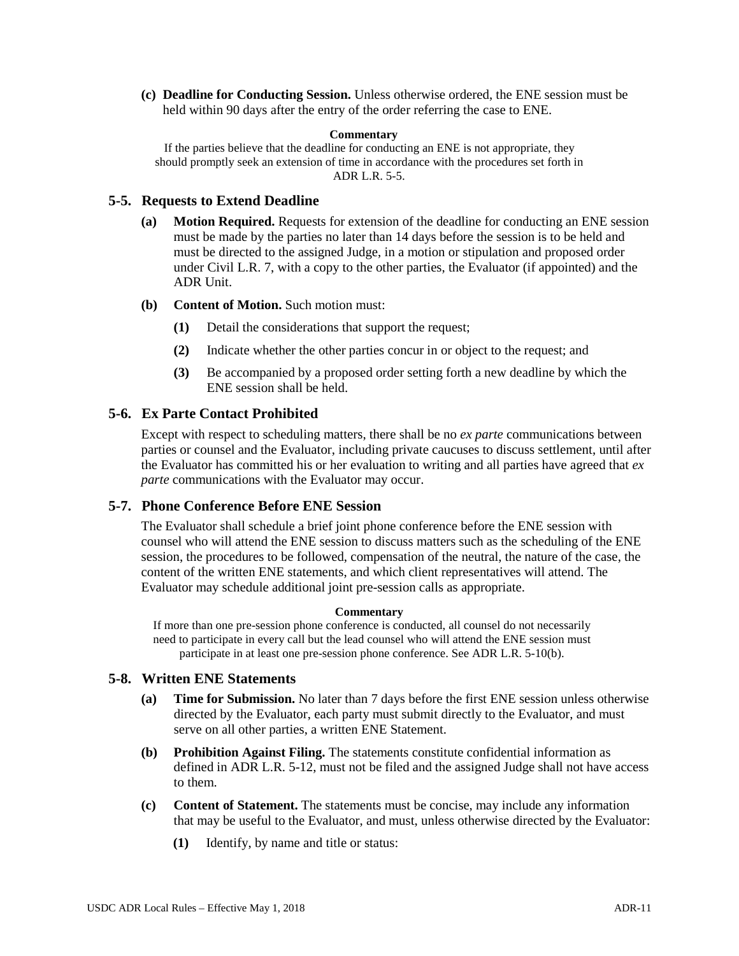<span id="page-14-0"></span>**(c) Deadline for Conducting Session.** Unless otherwise ordered, the ENE session must be held within 90 days after the entry of the order referring the case to ENE.

#### **Commentary**

If the parties believe that the deadline for conducting an ENE is not appropriate, they should promptly seek an extension of time in accordance with the procedures set forth in ADR L.R. 5-5.

#### <span id="page-14-2"></span><span id="page-14-1"></span>**5-5. Requests to Extend Deadline**

- **(a) Motion Required.** Requests for extension of the deadline for conducting an ENE session must be made by the parties no later than 14 days before the session is to be held and must be directed to the assigned Judge, in a motion or stipulation and proposed order under Civil L.R. 7, with a copy to the other parties, the Evaluator (if appointed) and the ADR Unit.
- <span id="page-14-3"></span>**(b) Content of Motion.** Such motion must:
	- **(1)** Detail the considerations that support the request;
	- **(2)** Indicate whether the other parties concur in or object to the request; and
	- **(3)** Be accompanied by a proposed order setting forth a new deadline by which the ENE session shall be held.

## <span id="page-14-4"></span>**5-6. Ex Parte Contact Prohibited**

Except with respect to scheduling matters, there shall be no *ex parte* communications between parties or counsel and the Evaluator, including private caucuses to discuss settlement, until after the Evaluator has committed his or her evaluation to writing and all parties have agreed that *ex parte* communications with the Evaluator may occur.

#### <span id="page-14-5"></span>**5-7. Phone Conference Before ENE Session**

The Evaluator shall schedule a brief joint phone conference before the ENE session with counsel who will attend the ENE session to discuss matters such as the scheduling of the ENE session, the procedures to be followed, compensation of the neutral, the nature of the case, the content of the written ENE statements, and which client representatives will attend. The Evaluator may schedule additional joint pre-session calls as appropriate.

#### **Commentary**

If more than one pre-session phone conference is conducted, all counsel do not necessarily need to participate in every call but the lead counsel who will attend the ENE session must participate in at least one pre-session phone conference. See ADR L.R. 5-10(b).

#### <span id="page-14-7"></span><span id="page-14-6"></span>**5-8. Written ENE Statements**

- **(a) Time for Submission.** No later than 7 days before the first ENE session unless otherwise directed by the Evaluator, each party must submit directly to the Evaluator, and must serve on all other parties, a written ENE Statement.
- <span id="page-14-8"></span>**(b) Prohibition Against Filing.** The statements constitute confidential information as defined in ADR L.R. 5-12, must not be filed and the assigned Judge shall not have access to them.
- <span id="page-14-9"></span>**(c) Content of Statement.** The statements must be concise, may include any information that may be useful to the Evaluator, and must, unless otherwise directed by the Evaluator:
	- **(1)** Identify, by name and title or status: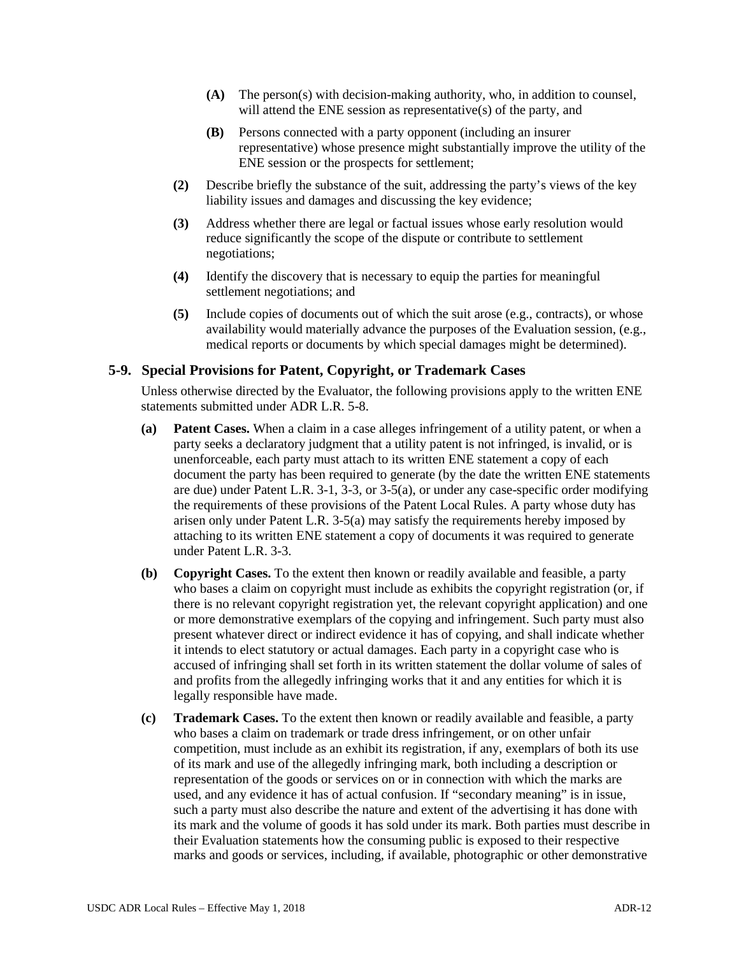- **(A)** The person(s) with decision-making authority, who, in addition to counsel, will attend the ENE session as representative(s) of the party, and
- **(B)** Persons connected with a party opponent (including an insurer representative) whose presence might substantially improve the utility of the ENE session or the prospects for settlement;
- **(2)** Describe briefly the substance of the suit, addressing the party's views of the key liability issues and damages and discussing the key evidence;
- **(3)** Address whether there are legal or factual issues whose early resolution would reduce significantly the scope of the dispute or contribute to settlement negotiations;
- **(4)** Identify the discovery that is necessary to equip the parties for meaningful settlement negotiations; and
- **(5)** Include copies of documents out of which the suit arose (e.g., contracts), or whose availability would materially advance the purposes of the Evaluation session, (e.g., medical reports or documents by which special damages might be determined).

## <span id="page-15-0"></span>**5-9. Special Provisions for Patent, Copyright, or Trademark Cases**

Unless otherwise directed by the Evaluator, the following provisions apply to the written ENE statements submitted under ADR L.R. 5-8.

- <span id="page-15-1"></span>**(a) Patent Cases.** When a claim in a case alleges infringement of a utility patent, or when a party seeks a declaratory judgment that a utility patent is not infringed, is invalid, or is unenforceable, each party must attach to its written ENE statement a copy of each document the party has been required to generate (by the date the written ENE statements are due) under Patent L.R. 3-1, 3-3, or 3-5(a), or under any case-specific order modifying the requirements of these provisions of the Patent Local Rules. A party whose duty has arisen only under Patent L.R. 3-5(a) may satisfy the requirements hereby imposed by attaching to its written ENE statement a copy of documents it was required to generate under Patent L.R. 3-3.
- <span id="page-15-2"></span>**(b) Copyright Cases.** To the extent then known or readily available and feasible, a party who bases a claim on copyright must include as exhibits the copyright registration (or, if there is no relevant copyright registration yet, the relevant copyright application) and one or more demonstrative exemplars of the copying and infringement. Such party must also present whatever direct or indirect evidence it has of copying, and shall indicate whether it intends to elect statutory or actual damages. Each party in a copyright case who is accused of infringing shall set forth in its written statement the dollar volume of sales of and profits from the allegedly infringing works that it and any entities for which it is legally responsible have made.
- <span id="page-15-3"></span>**(c) Trademark Cases.** To the extent then known or readily available and feasible, a party who bases a claim on trademark or trade dress infringement, or on other unfair competition, must include as an exhibit its registration, if any, exemplars of both its use of its mark and use of the allegedly infringing mark, both including a description or representation of the goods or services on or in connection with which the marks are used, and any evidence it has of actual confusion. If "secondary meaning" is in issue, such a party must also describe the nature and extent of the advertising it has done with its mark and the volume of goods it has sold under its mark. Both parties must describe in their Evaluation statements how the consuming public is exposed to their respective marks and goods or services, including, if available, photographic or other demonstrative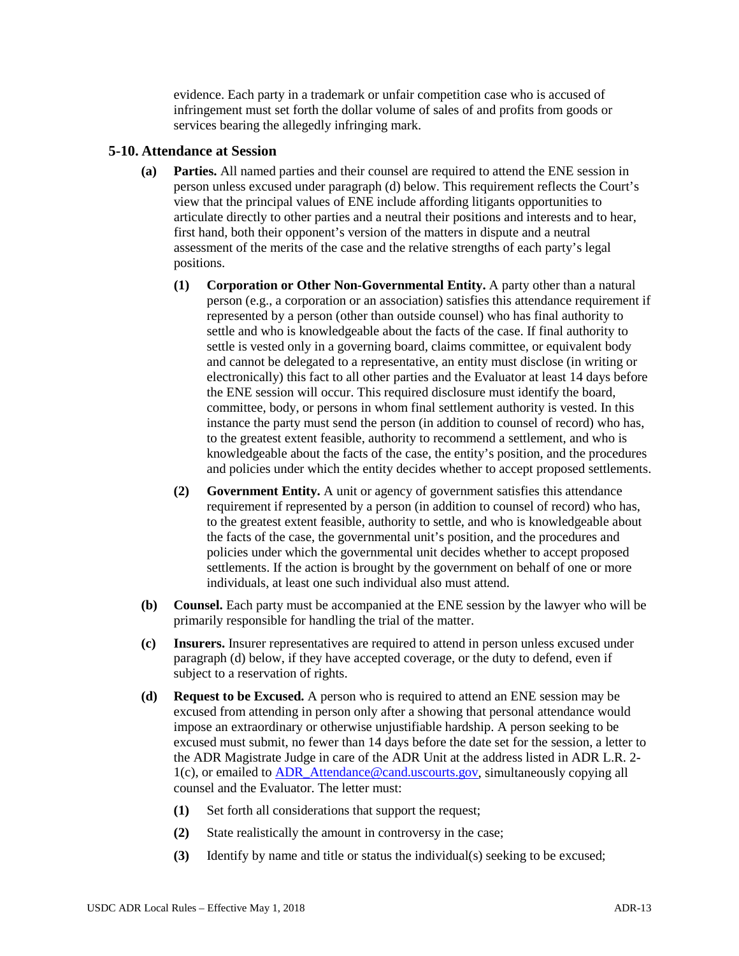evidence. Each party in a trademark or unfair competition case who is accused of infringement must set forth the dollar volume of sales of and profits from goods or services bearing the allegedly infringing mark.

### <span id="page-16-1"></span><span id="page-16-0"></span>**5-10. Attendance at Session**

- **(a) Parties.** All named parties and their counsel are required to attend the ENE session in person unless excused under paragraph (d) below. This requirement reflects the Court's view that the principal values of ENE include affording litigants opportunities to articulate directly to other parties and a neutral their positions and interests and to hear, first hand, both their opponent's version of the matters in dispute and a neutral assessment of the merits of the case and the relative strengths of each party's legal positions.
	- **(1) Corporation or Other Non-Governmental Entity.** A party other than a natural person (e.g., a corporation or an association) satisfies this attendance requirement if represented by a person (other than outside counsel) who has final authority to settle and who is knowledgeable about the facts of the case. If final authority to settle is vested only in a governing board, claims committee, or equivalent body and cannot be delegated to a representative, an entity must disclose (in writing or electronically) this fact to all other parties and the Evaluator at least 14 days before the ENE session will occur. This required disclosure must identify the board, committee, body, or persons in whom final settlement authority is vested. In this instance the party must send the person (in addition to counsel of record) who has, to the greatest extent feasible, authority to recommend a settlement, and who is knowledgeable about the facts of the case, the entity's position, and the procedures and policies under which the entity decides whether to accept proposed settlements.
	- **(2) Government Entity.** A unit or agency of government satisfies this attendance requirement if represented by a person (in addition to counsel of record) who has, to the greatest extent feasible, authority to settle, and who is knowledgeable about the facts of the case, the governmental unit's position, and the procedures and policies under which the governmental unit decides whether to accept proposed settlements. If the action is brought by the government on behalf of one or more individuals, at least one such individual also must attend.
- <span id="page-16-2"></span>**(b) Counsel.** Each party must be accompanied at the ENE session by the lawyer who will be primarily responsible for handling the trial of the matter.
- <span id="page-16-3"></span>**(c) Insurers.** Insurer representatives are required to attend in person unless excused under paragraph (d) below, if they have accepted coverage, or the duty to defend, even if subject to a reservation of rights.
- <span id="page-16-4"></span>**(d) Request to be Excused.** A person who is required to attend an ENE session may be excused from attending in person only after a showing that personal attendance would impose an extraordinary or otherwise unjustifiable hardship. A person seeking to be excused must submit, no fewer than 14 days before the date set for the session, a letter to the ADR Magistrate Judge in care of the ADR Unit at the address listed in ADR L.R. 2- 1(c), or emailed to [ADR\\_Attendance@cand.uscourts.gov,](mailto:ADR_Attendance@cand.uscourts.gov) simultaneously copying all counsel and the Evaluator. The letter must:
	- **(1)** Set forth all considerations that support the request;
	- **(2)** State realistically the amount in controversy in the case;
	- **(3)** Identify by name and title or status the individual(s) seeking to be excused;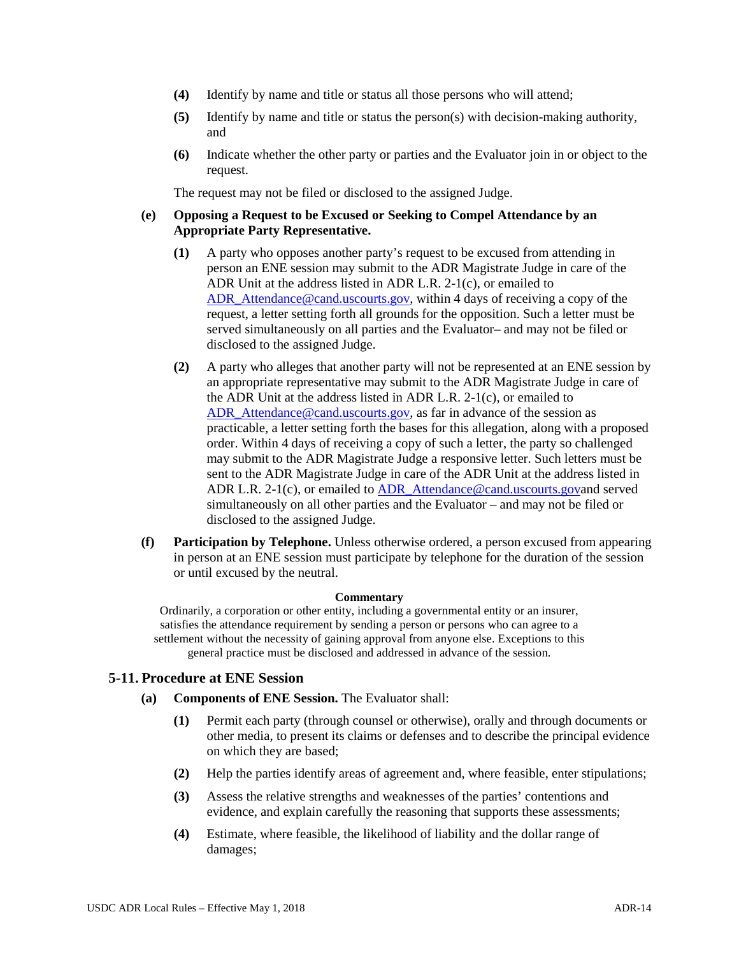- **(4)** Identify by name and title or status all those persons who will attend;
- **(5)** Identify by name and title or status the person(s) with decision-making authority, and
- **(6)** Indicate whether the other party or parties and the Evaluator join in or object to the request.

The request may not be filed or disclosed to the assigned Judge.

## <span id="page-17-0"></span>**(e) Opposing a Request to be Excused or Seeking to Compel Attendance by an Appropriate Party Representative.**

- **(1)** A party who opposes another party's request to be excused from attending in person an ENE session may submit to the ADR Magistrate Judge in care of the ADR Unit at the address listed in ADR L.R. 2-1(c), or emailed to [ADR\\_Attendance@cand.uscourts.gov,](mailto:ADR_Attendance@cand.uscourts.gov) within 4 days of receiving a copy of the request, a letter setting forth all grounds for the opposition. Such a letter must be served simultaneously on all parties and the Evaluator– and may not be filed or disclosed to the assigned Judge.
- **(2)** A party who alleges that another party will not be represented at an ENE session by an appropriate representative may submit to the ADR Magistrate Judge in care of the ADR Unit at the address listed in ADR L.R. 2-1(c), or emailed to ADR Attendance@cand.uscourts.gov, as far in advance of the session as practicable, a letter setting forth the bases for this allegation, along with a proposed order. Within 4 days of receiving a copy of such a letter, the party so challenged may submit to the ADR Magistrate Judge a responsive letter. Such letters must be sent to the ADR Magistrate Judge in care of the ADR Unit at the address listed in ADR L.R. 2-1(c), or emailed to ADR Attendance@cand.uscourts.govand served simultaneously on all other parties and the Evaluator – and may not be filed or disclosed to the assigned Judge.
- <span id="page-17-1"></span>**(f) Participation by Telephone.** Unless otherwise ordered, a person excused from appearing in person at an ENE session must participate by telephone for the duration of the session or until excused by the neutral.

#### **Commentary**

Ordinarily, a corporation or other entity, including a governmental entity or an insurer, satisfies the attendance requirement by sending a person or persons who can agree to a settlement without the necessity of gaining approval from anyone else. Exceptions to this general practice must be disclosed and addressed in advance of the session.

#### <span id="page-17-3"></span><span id="page-17-2"></span>**5-11. Procedure at ENE Session**

- **(a) Components of ENE Session.** The Evaluator shall:
	- **(1)** Permit each party (through counsel or otherwise), orally and through documents or other media, to present its claims or defenses and to describe the principal evidence on which they are based;
	- **(2)** Help the parties identify areas of agreement and, where feasible, enter stipulations;
	- **(3)** Assess the relative strengths and weaknesses of the parties' contentions and evidence, and explain carefully the reasoning that supports these assessments;
	- **(4)** Estimate, where feasible, the likelihood of liability and the dollar range of damages;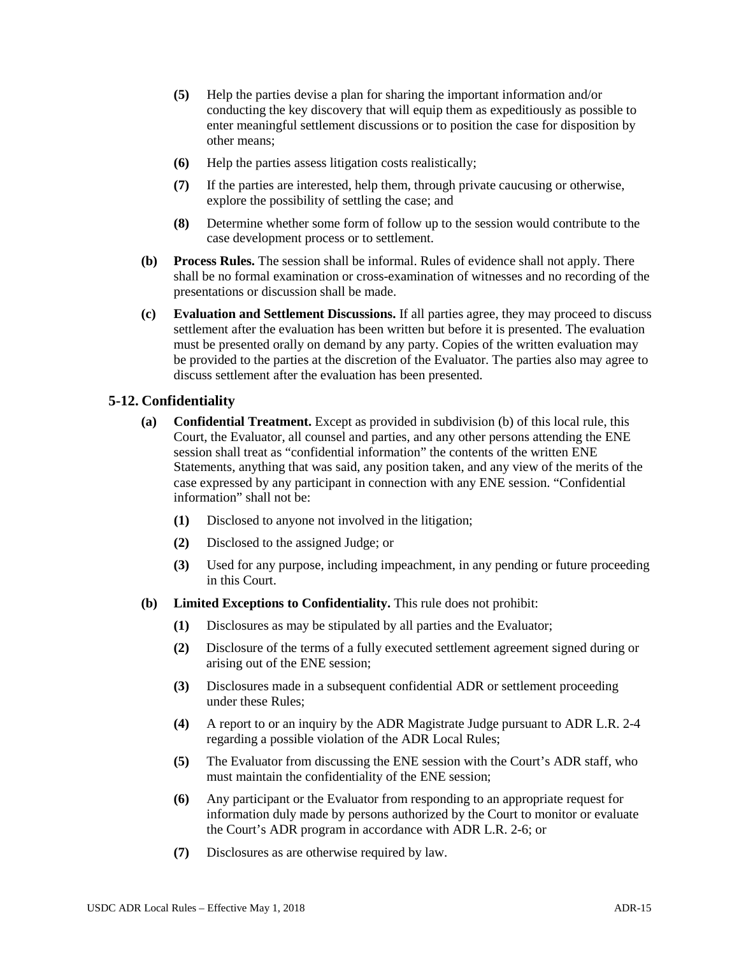- **(5)** Help the parties devise a plan for sharing the important information and/or conducting the key discovery that will equip them as expeditiously as possible to enter meaningful settlement discussions or to position the case for disposition by other means;
- **(6)** Help the parties assess litigation costs realistically;
- **(7)** If the parties are interested, help them, through private caucusing or otherwise, explore the possibility of settling the case; and
- **(8)** Determine whether some form of follow up to the session would contribute to the case development process or to settlement.
- <span id="page-18-0"></span>**(b) Process Rules.** The session shall be informal. Rules of evidence shall not apply. There shall be no formal examination or cross-examination of witnesses and no recording of the presentations or discussion shall be made.
- <span id="page-18-1"></span>**(c) Evaluation and Settlement Discussions.** If all parties agree, they may proceed to discuss settlement after the evaluation has been written but before it is presented. The evaluation must be presented orally on demand by any party. Copies of the written evaluation may be provided to the parties at the discretion of the Evaluator. The parties also may agree to discuss settlement after the evaluation has been presented.

#### <span id="page-18-3"></span><span id="page-18-2"></span>**5-12. Confidentiality**

- **(a) Confidential Treatment.** Except as provided in subdivision (b) of this local rule, this Court, the Evaluator, all counsel and parties, and any other persons attending the ENE session shall treat as "confidential information" the contents of the written ENE Statements, anything that was said, any position taken, and any view of the merits of the case expressed by any participant in connection with any ENE session. "Confidential information" shall not be:
	- **(1)** Disclosed to anyone not involved in the litigation;
	- **(2)** Disclosed to the assigned Judge; or
	- **(3)** Used for any purpose, including impeachment, in any pending or future proceeding in this Court.
- <span id="page-18-4"></span>**(b) Limited Exceptions to Confidentiality.** This rule does not prohibit:
	- **(1)** Disclosures as may be stipulated by all parties and the Evaluator;
	- **(2)** Disclosure of the terms of a fully executed settlement agreement signed during or arising out of the ENE session;
	- **(3)** Disclosures made in a subsequent confidential ADR or settlement proceeding under these Rules;
	- **(4)** A report to or an inquiry by the ADR Magistrate Judge pursuant to ADR L.R. 2-4 regarding a possible violation of the ADR Local Rules;
	- **(5)** The Evaluator from discussing the ENE session with the Court's ADR staff, who must maintain the confidentiality of the ENE session;
	- **(6)** Any participant or the Evaluator from responding to an appropriate request for information duly made by persons authorized by the Court to monitor or evaluate the Court's ADR program in accordance with ADR L.R. 2-6; or
	- **(7)** Disclosures as are otherwise required by law.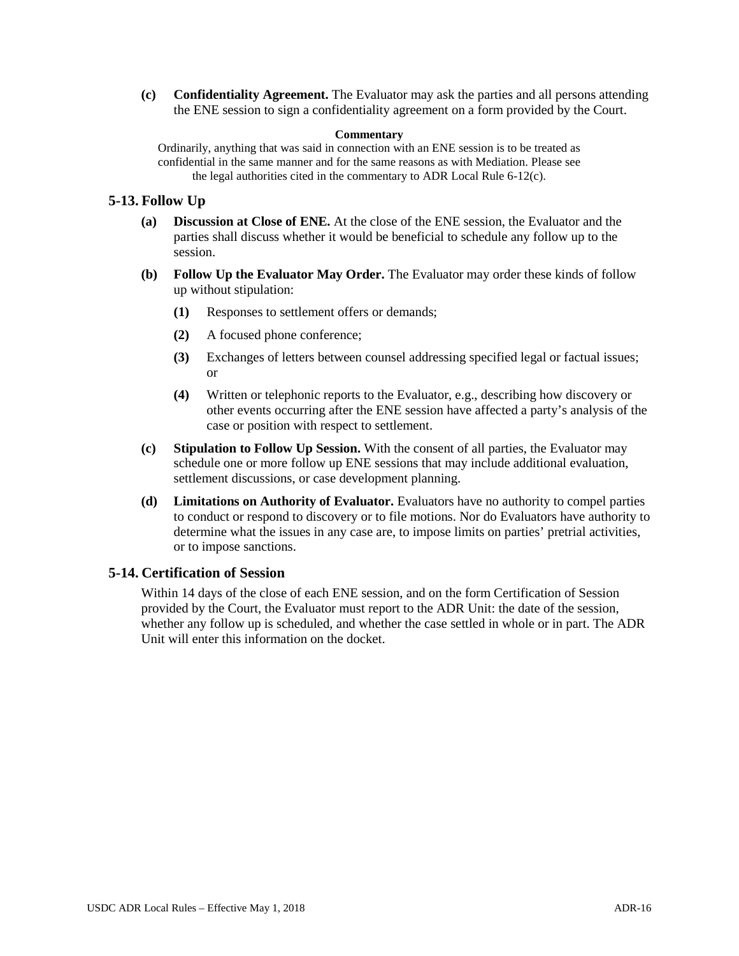<span id="page-19-0"></span>**(c) Confidentiality Agreement.** The Evaluator may ask the parties and all persons attending the ENE session to sign a confidentiality agreement on a form provided by the Court.

#### **Commentary**

Ordinarily, anything that was said in connection with an ENE session is to be treated as confidential in the same manner and for the same reasons as with Mediation. Please see the legal authorities cited in the commentary to ADR Local Rule 6-12(c).

### <span id="page-19-2"></span><span id="page-19-1"></span>**5-13. Follow Up**

- **(a) Discussion at Close of ENE.** At the close of the ENE session, the Evaluator and the parties shall discuss whether it would be beneficial to schedule any follow up to the session.
- <span id="page-19-3"></span>**(b) Follow Up the Evaluator May Order.** The Evaluator may order these kinds of follow up without stipulation:
	- **(1)** Responses to settlement offers or demands;
	- **(2)** A focused phone conference;
	- **(3)** Exchanges of letters between counsel addressing specified legal or factual issues; or
	- **(4)** Written or telephonic reports to the Evaluator, e.g., describing how discovery or other events occurring after the ENE session have affected a party's analysis of the case or position with respect to settlement.
- <span id="page-19-4"></span>**(c) Stipulation to Follow Up Session.** With the consent of all parties, the Evaluator may schedule one or more follow up ENE sessions that may include additional evaluation, settlement discussions, or case development planning.
- <span id="page-19-5"></span>**(d) Limitations on Authority of Evaluator.** Evaluators have no authority to compel parties to conduct or respond to discovery or to file motions. Nor do Evaluators have authority to determine what the issues in any case are, to impose limits on parties' pretrial activities, or to impose sanctions.

## <span id="page-19-6"></span>**5-14. Certification of Session**

Within 14 days of the close of each ENE session, and on the form Certification of Session provided by the Court, the Evaluator must report to the ADR Unit: the date of the session, whether any follow up is scheduled, and whether the case settled in whole or in part. The ADR Unit will enter this information on the docket.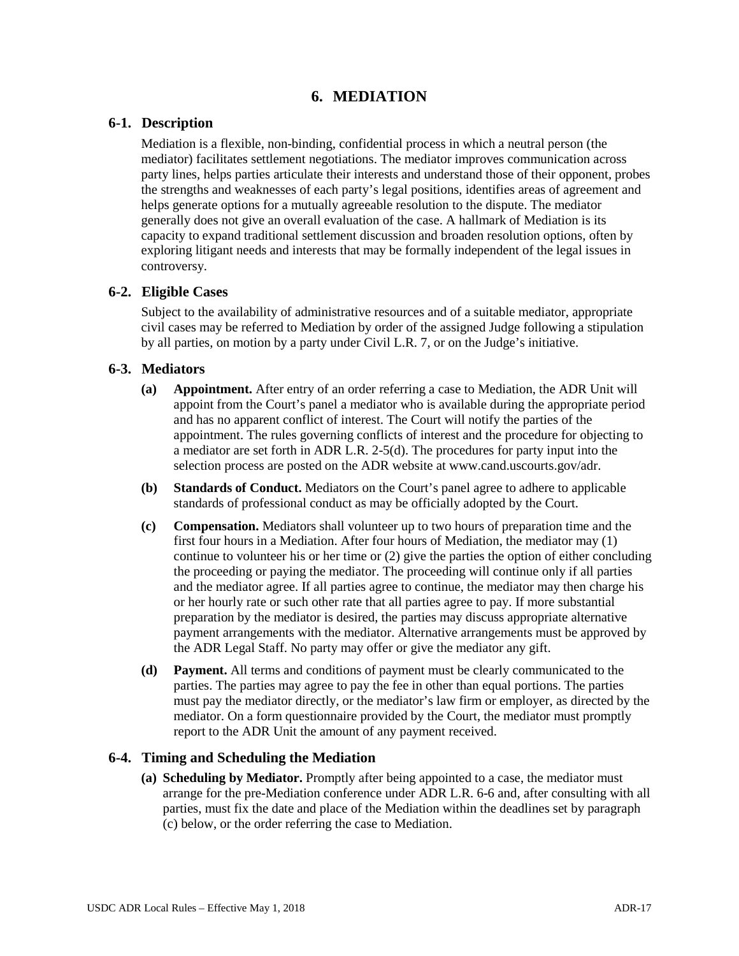## **6. MEDIATION**

## <span id="page-20-1"></span><span id="page-20-0"></span>**6-1. Description**

Mediation is a flexible, non-binding, confidential process in which a neutral person (the mediator) facilitates settlement negotiations. The mediator improves communication across party lines, helps parties articulate their interests and understand those of their opponent, probes the strengths and weaknesses of each party's legal positions, identifies areas of agreement and helps generate options for a mutually agreeable resolution to the dispute. The mediator generally does not give an overall evaluation of the case. A hallmark of Mediation is its capacity to expand traditional settlement discussion and broaden resolution options, often by exploring litigant needs and interests that may be formally independent of the legal issues in controversy.

## <span id="page-20-2"></span>**6-2. Eligible Cases**

Subject to the availability of administrative resources and of a suitable mediator, appropriate civil cases may be referred to Mediation by order of the assigned Judge following a stipulation by all parties, on motion by a party under Civil L.R. 7, or on the Judge's initiative.

## <span id="page-20-4"></span><span id="page-20-3"></span>**6-3. Mediators**

- **(a) Appointment.** After entry of an order referring a case to Mediation, the ADR Unit will appoint from the Court's panel a mediator who is available during the appropriate period and has no apparent conflict of interest. The Court will notify the parties of the appointment. The rules governing conflicts of interest and the procedure for objecting to a mediator are set forth in ADR L.R. 2-5(d). The procedures for party input into the selection process are posted on the ADR website at www.cand.uscourts.gov/adr.
- <span id="page-20-5"></span>**(b) Standards of Conduct.** Mediators on the Court's panel agree to adhere to applicable standards of professional conduct as may be officially adopted by the Court.
- <span id="page-20-6"></span>**(c) Compensation.** Mediators shall volunteer up to two hours of preparation time and the first four hours in a Mediation. After four hours of Mediation, the mediator may (1) continue to volunteer his or her time or (2) give the parties the option of either concluding the proceeding or paying the mediator. The proceeding will continue only if all parties and the mediator agree. If all parties agree to continue, the mediator may then charge his or her hourly rate or such other rate that all parties agree to pay. If more substantial preparation by the mediator is desired, the parties may discuss appropriate alternative payment arrangements with the mediator. Alternative arrangements must be approved by the ADR Legal Staff. No party may offer or give the mediator any gift.
- <span id="page-20-7"></span>**(d) Payment.** All terms and conditions of payment must be clearly communicated to the parties. The parties may agree to pay the fee in other than equal portions. The parties must pay the mediator directly, or the mediator's law firm or employer, as directed by the mediator. On a form questionnaire provided by the Court, the mediator must promptly report to the ADR Unit the amount of any payment received.

#### <span id="page-20-9"></span><span id="page-20-8"></span>**6-4. Timing and Scheduling the Mediation**

**(a) Scheduling by Mediator.** Promptly after being appointed to a case, the mediator must arrange for the pre-Mediation conference under ADR L.R. 6-6 and, after consulting with all parties, must fix the date and place of the Mediation within the deadlines set by paragraph (c) below, or the order referring the case to Mediation.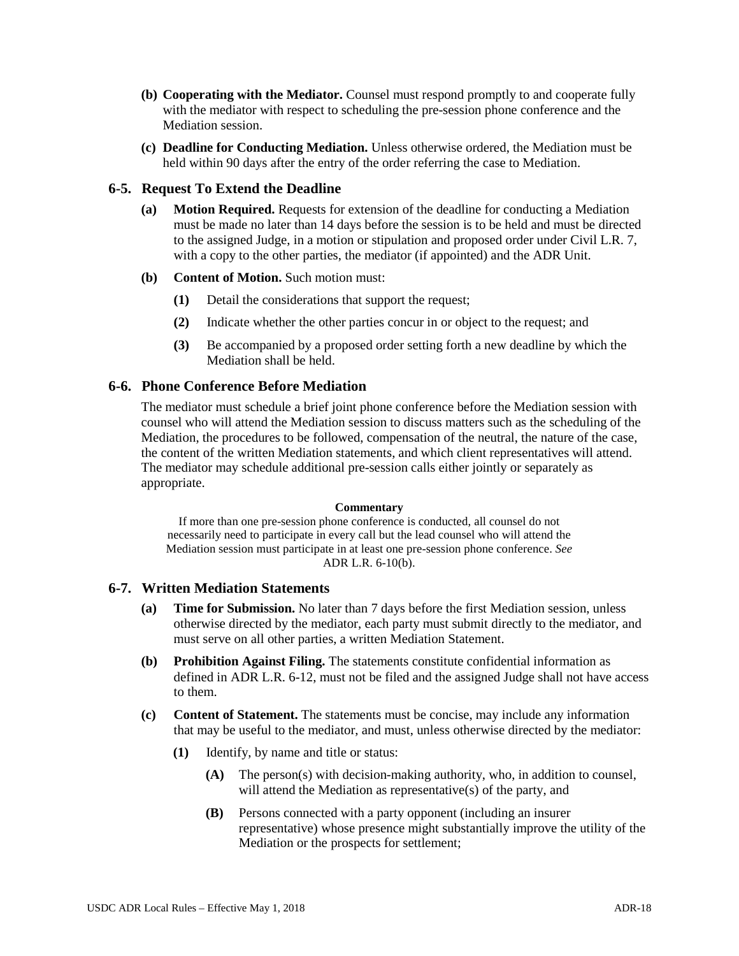- <span id="page-21-0"></span>**(b) Cooperating with the Mediator.** Counsel must respond promptly to and cooperate fully with the mediator with respect to scheduling the pre-session phone conference and the Mediation session.
- **(c) Deadline for Conducting Mediation.** Unless otherwise ordered, the Mediation must be held within 90 days after the entry of the order referring the case to Mediation.

## <span id="page-21-3"></span><span id="page-21-2"></span><span id="page-21-1"></span>**6-5. Request To Extend the Deadline**

**(a) Motion Required.** Requests for extension of the deadline for conducting a Mediation must be made no later than 14 days before the session is to be held and must be directed to the assigned Judge, in a motion or stipulation and proposed order under Civil L.R. 7, with a copy to the other parties, the mediator (if appointed) and the ADR Unit.

#### <span id="page-21-4"></span>**(b) Content of Motion.** Such motion must:

- **(1)** Detail the considerations that support the request;
- **(2)** Indicate whether the other parties concur in or object to the request; and
- **(3)** Be accompanied by a proposed order setting forth a new deadline by which the Mediation shall be held.

#### <span id="page-21-5"></span>**6-6. Phone Conference Before Mediation**

The mediator must schedule a brief joint phone conference before the Mediation session with counsel who will attend the Mediation session to discuss matters such as the scheduling of the Mediation, the procedures to be followed, compensation of the neutral, the nature of the case, the content of the written Mediation statements, and which client representatives will attend. The mediator may schedule additional pre-session calls either jointly or separately as appropriate.

#### **Commentary**

If more than one pre-session phone conference is conducted, all counsel do not necessarily need to participate in every call but the lead counsel who will attend the Mediation session must participate in at least one pre-session phone conference. *See* ADR L.R. 6-10(b).

## <span id="page-21-7"></span><span id="page-21-6"></span>**6-7. Written Mediation Statements**

- **(a) Time for Submission.** No later than 7 days before the first Mediation session, unless otherwise directed by the mediator, each party must submit directly to the mediator, and must serve on all other parties, a written Mediation Statement.
- <span id="page-21-8"></span>**(b) Prohibition Against Filing.** The statements constitute confidential information as defined in ADR L.R. 6-12, must not be filed and the assigned Judge shall not have access to them.
- <span id="page-21-9"></span>**(c) Content of Statement.** The statements must be concise, may include any information that may be useful to the mediator, and must, unless otherwise directed by the mediator:
	- **(1)** Identify, by name and title or status:
		- **(A)** The person(s) with decision-making authority, who, in addition to counsel, will attend the Mediation as representative(s) of the party, and
		- **(B)** Persons connected with a party opponent (including an insurer representative) whose presence might substantially improve the utility of the Mediation or the prospects for settlement;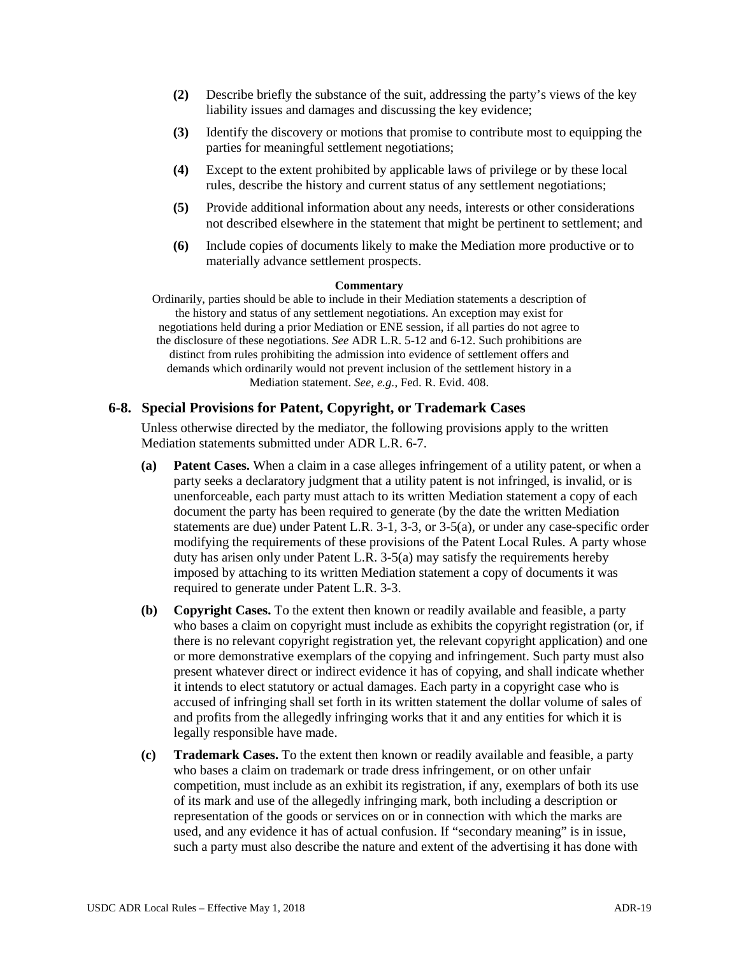- **(2)** Describe briefly the substance of the suit, addressing the party's views of the key liability issues and damages and discussing the key evidence;
- **(3)** Identify the discovery or motions that promise to contribute most to equipping the parties for meaningful settlement negotiations;
- **(4)** Except to the extent prohibited by applicable laws of privilege or by these local rules, describe the history and current status of any settlement negotiations;
- **(5)** Provide additional information about any needs, interests or other considerations not described elsewhere in the statement that might be pertinent to settlement; and
- **(6)** Include copies of documents likely to make the Mediation more productive or to materially advance settlement prospects.

#### **Commentary**

Ordinarily, parties should be able to include in their Mediation statements a description of the history and status of any settlement negotiations. An exception may exist for negotiations held during a prior Mediation or ENE session, if all parties do not agree to the disclosure of these negotiations. *See* ADR L.R. 5-12 and 6-12. Such prohibitions are distinct from rules prohibiting the admission into evidence of settlement offers and demands which ordinarily would not prevent inclusion of the settlement history in a Mediation statement. *See, e.g.*, Fed. R. Evid. 408.

#### <span id="page-22-0"></span>**6-8. Special Provisions for Patent, Copyright, or Trademark Cases**

Unless otherwise directed by the mediator, the following provisions apply to the written Mediation statements submitted under ADR L.R. 6-7.

- <span id="page-22-1"></span>**(a) Patent Cases.** When a claim in a case alleges infringement of a utility patent, or when a party seeks a declaratory judgment that a utility patent is not infringed, is invalid, or is unenforceable, each party must attach to its written Mediation statement a copy of each document the party has been required to generate (by the date the written Mediation statements are due) under Patent L.R. 3-1, 3-3, or 3-5(a), or under any case-specific order modifying the requirements of these provisions of the Patent Local Rules. A party whose duty has arisen only under Patent L.R. 3-5(a) may satisfy the requirements hereby imposed by attaching to its written Mediation statement a copy of documents it was required to generate under Patent L.R. 3-3.
- <span id="page-22-2"></span>**(b) Copyright Cases.** To the extent then known or readily available and feasible, a party who bases a claim on copyright must include as exhibits the copyright registration (or, if there is no relevant copyright registration yet, the relevant copyright application) and one or more demonstrative exemplars of the copying and infringement. Such party must also present whatever direct or indirect evidence it has of copying, and shall indicate whether it intends to elect statutory or actual damages. Each party in a copyright case who is accused of infringing shall set forth in its written statement the dollar volume of sales of and profits from the allegedly infringing works that it and any entities for which it is legally responsible have made.
- <span id="page-22-3"></span>**(c) Trademark Cases.** To the extent then known or readily available and feasible, a party who bases a claim on trademark or trade dress infringement, or on other unfair competition, must include as an exhibit its registration, if any, exemplars of both its use of its mark and use of the allegedly infringing mark, both including a description or representation of the goods or services on or in connection with which the marks are used, and any evidence it has of actual confusion. If "secondary meaning" is in issue, such a party must also describe the nature and extent of the advertising it has done with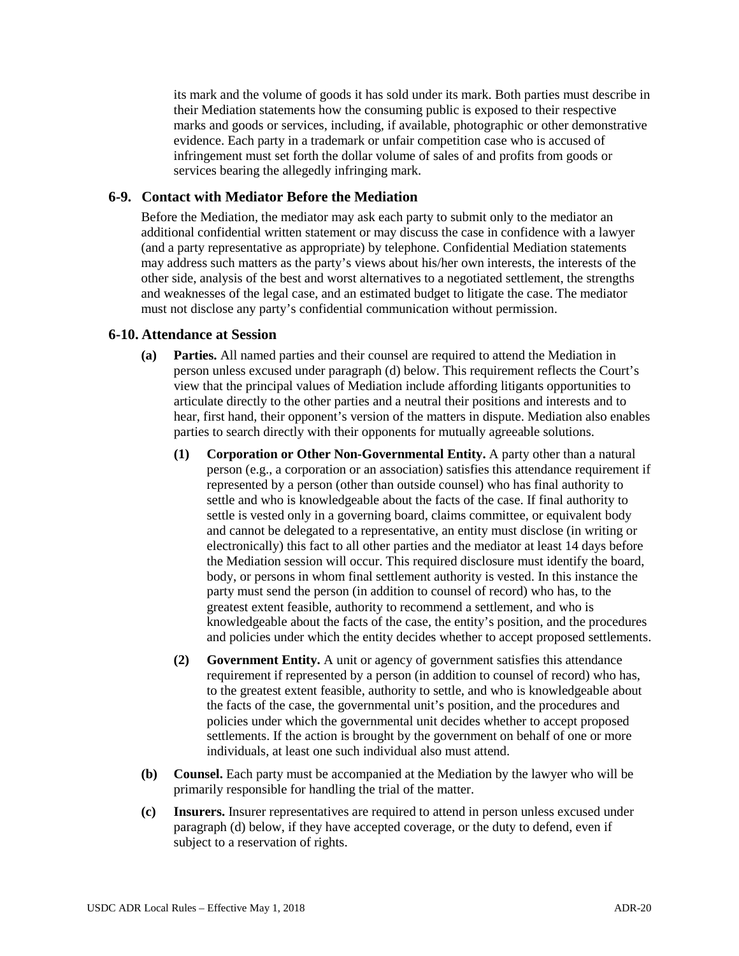its mark and the volume of goods it has sold under its mark. Both parties must describe in their Mediation statements how the consuming public is exposed to their respective marks and goods or services, including, if available, photographic or other demonstrative evidence. Each party in a trademark or unfair competition case who is accused of infringement must set forth the dollar volume of sales of and profits from goods or services bearing the allegedly infringing mark.

## <span id="page-23-0"></span>**6-9. Contact with Mediator Before the Mediation**

Before the Mediation, the mediator may ask each party to submit only to the mediator an additional confidential written statement or may discuss the case in confidence with a lawyer (and a party representative as appropriate) by telephone. Confidential Mediation statements may address such matters as the party's views about his/her own interests, the interests of the other side, analysis of the best and worst alternatives to a negotiated settlement, the strengths and weaknesses of the legal case, and an estimated budget to litigate the case. The mediator must not disclose any party's confidential communication without permission.

#### <span id="page-23-2"></span><span id="page-23-1"></span>**6-10. Attendance at Session**

- **(a) Parties.** All named parties and their counsel are required to attend the Mediation in person unless excused under paragraph (d) below. This requirement reflects the Court's view that the principal values of Mediation include affording litigants opportunities to articulate directly to the other parties and a neutral their positions and interests and to hear, first hand, their opponent's version of the matters in dispute. Mediation also enables parties to search directly with their opponents for mutually agreeable solutions.
	- **(1) Corporation or Other Non-Governmental Entity.** A party other than a natural person (e.g., a corporation or an association) satisfies this attendance requirement if represented by a person (other than outside counsel) who has final authority to settle and who is knowledgeable about the facts of the case. If final authority to settle is vested only in a governing board, claims committee, or equivalent body and cannot be delegated to a representative, an entity must disclose (in writing or electronically) this fact to all other parties and the mediator at least 14 days before the Mediation session will occur. This required disclosure must identify the board, body, or persons in whom final settlement authority is vested. In this instance the party must send the person (in addition to counsel of record) who has, to the greatest extent feasible, authority to recommend a settlement, and who is knowledgeable about the facts of the case, the entity's position, and the procedures and policies under which the entity decides whether to accept proposed settlements.
	- **(2) Government Entity.** A unit or agency of government satisfies this attendance requirement if represented by a person (in addition to counsel of record) who has, to the greatest extent feasible, authority to settle, and who is knowledgeable about the facts of the case, the governmental unit's position, and the procedures and policies under which the governmental unit decides whether to accept proposed settlements. If the action is brought by the government on behalf of one or more individuals, at least one such individual also must attend.
- <span id="page-23-3"></span>**(b) Counsel.** Each party must be accompanied at the Mediation by the lawyer who will be primarily responsible for handling the trial of the matter.
- <span id="page-23-4"></span>**(c) Insurers.** Insurer representatives are required to attend in person unless excused under paragraph (d) below, if they have accepted coverage, or the duty to defend, even if subject to a reservation of rights.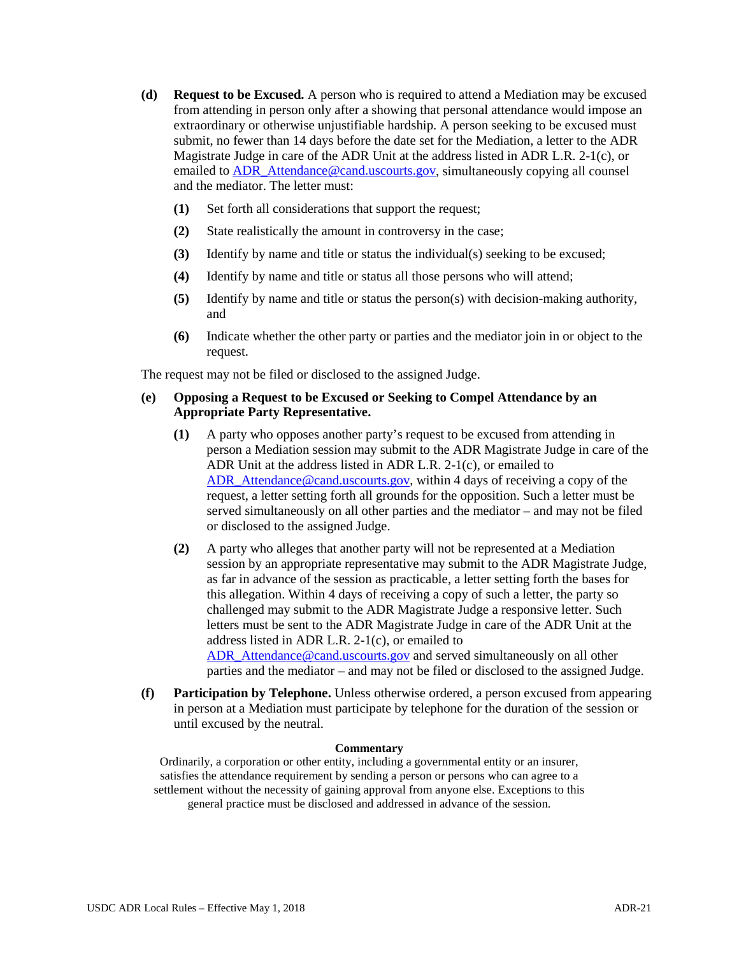- <span id="page-24-0"></span>**(d) Request to be Excused.** A person who is required to attend a Mediation may be excused from attending in person only after a showing that personal attendance would impose an extraordinary or otherwise unjustifiable hardship. A person seeking to be excused must submit, no fewer than 14 days before the date set for the Mediation, a letter to the ADR Magistrate Judge in care of the ADR Unit at the address listed in ADR L.R. 2-1(c), or emailed to ADR\_Attendance@cand.uscourts.gov, simultaneously copying all counsel and the mediator. The letter must:
	- **(1)** Set forth all considerations that support the request;
	- **(2)** State realistically the amount in controversy in the case;
	- **(3)** Identify by name and title or status the individual(s) seeking to be excused;
	- **(4)** Identify by name and title or status all those persons who will attend;
	- **(5)** Identify by name and title or status the person(s) with decision-making authority, and
	- **(6)** Indicate whether the other party or parties and the mediator join in or object to the request.

The request may not be filed or disclosed to the assigned Judge.

#### <span id="page-24-1"></span>**(e) Opposing a Request to be Excused or Seeking to Compel Attendance by an Appropriate Party Representative.**

- **(1)** A party who opposes another party's request to be excused from attending in person a Mediation session may submit to the ADR Magistrate Judge in care of the ADR Unit at the address listed in ADR L.R. 2-1(c), or emailed to ADR Attendance@cand.uscourts.gov, within 4 days of receiving a copy of the request, a letter setting forth all grounds for the opposition. Such a letter must be served simultaneously on all other parties and the mediator – and may not be filed or disclosed to the assigned Judge.
- **(2)** A party who alleges that another party will not be represented at a Mediation session by an appropriate representative may submit to the ADR Magistrate Judge, as far in advance of the session as practicable, a letter setting forth the bases for this allegation. Within 4 days of receiving a copy of such a letter, the party so challenged may submit to the ADR Magistrate Judge a responsive letter. Such letters must be sent to the ADR Magistrate Judge in care of the ADR Unit at the address listed in ADR L.R. 2-1(c), or emailed to ADR\_Attendance@cand.uscourts.gov and served simultaneously on all other parties and the mediator – and may not be filed or disclosed to the assigned Judge.
- <span id="page-24-2"></span>**(f) Participation by Telephone.** Unless otherwise ordered, a person excused from appearing in person at a Mediation must participate by telephone for the duration of the session or until excused by the neutral.

#### **Commentary**

Ordinarily, a corporation or other entity, including a governmental entity or an insurer, satisfies the attendance requirement by sending a person or persons who can agree to a settlement without the necessity of gaining approval from anyone else. Exceptions to this general practice must be disclosed and addressed in advance of the session.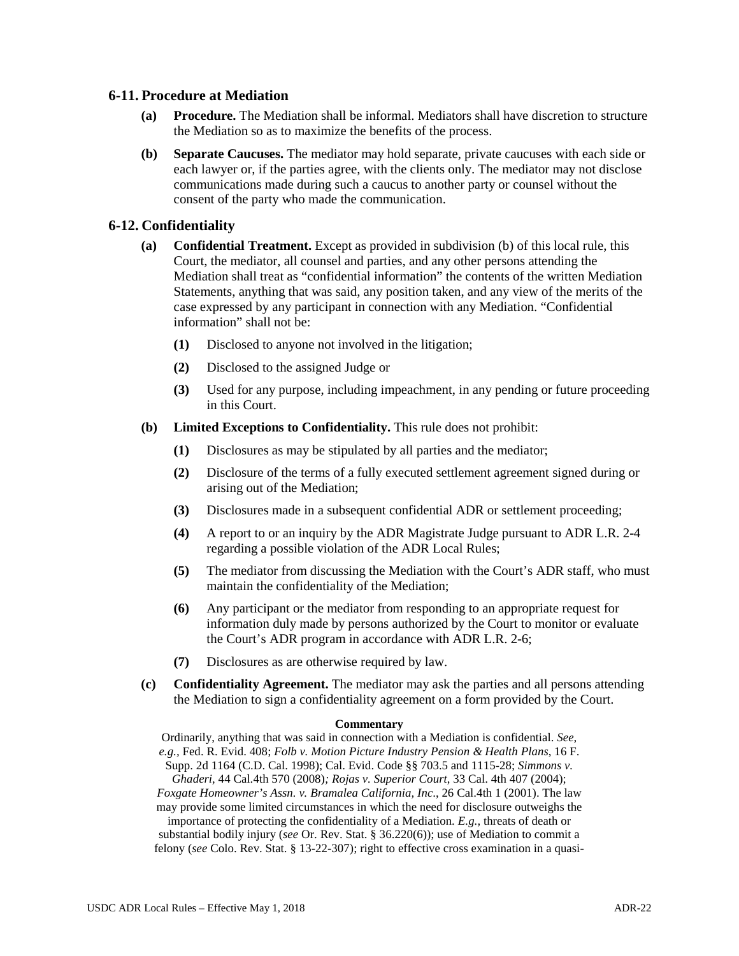#### <span id="page-25-1"></span><span id="page-25-0"></span>**6-11. Procedure at Mediation**

- **(a) Procedure.** The Mediation shall be informal. Mediators shall have discretion to structure the Mediation so as to maximize the benefits of the process.
- <span id="page-25-2"></span>**(b) Separate Caucuses.** The mediator may hold separate, private caucuses with each side or each lawyer or, if the parties agree, with the clients only. The mediator may not disclose communications made during such a caucus to another party or counsel without the consent of the party who made the communication.

## <span id="page-25-4"></span><span id="page-25-3"></span>**6-12. Confidentiality**

- **(a) Confidential Treatment.** Except as provided in subdivision (b) of this local rule, this Court, the mediator, all counsel and parties, and any other persons attending the Mediation shall treat as "confidential information" the contents of the written Mediation Statements, anything that was said, any position taken, and any view of the merits of the case expressed by any participant in connection with any Mediation. "Confidential information" shall not be:
	- **(1)** Disclosed to anyone not involved in the litigation;
	- **(2)** Disclosed to the assigned Judge or
	- **(3)** Used for any purpose, including impeachment, in any pending or future proceeding in this Court.
- <span id="page-25-5"></span>**(b) Limited Exceptions to Confidentiality.** This rule does not prohibit:
	- **(1)** Disclosures as may be stipulated by all parties and the mediator;
	- **(2)** Disclosure of the terms of a fully executed settlement agreement signed during or arising out of the Mediation;
	- **(3)** Disclosures made in a subsequent confidential ADR or settlement proceeding;
	- **(4)** A report to or an inquiry by the ADR Magistrate Judge pursuant to ADR L.R. 2-4 regarding a possible violation of the ADR Local Rules;
	- **(5)** The mediator from discussing the Mediation with the Court's ADR staff, who must maintain the confidentiality of the Mediation;
	- **(6)** Any participant or the mediator from responding to an appropriate request for information duly made by persons authorized by the Court to monitor or evaluate the Court's ADR program in accordance with ADR L.R. 2-6;
	- **(7)** Disclosures as are otherwise required by law.
- <span id="page-25-6"></span>**(c) Confidentiality Agreement.** The mediator may ask the parties and all persons attending the Mediation to sign a confidentiality agreement on a form provided by the Court.

#### **Commentary**

Ordinarily, anything that was said in connection with a Mediation is confidential. *See, e.g.,* Fed. R. Evid. 408; *Folb v. Motion Picture Industry Pension & Health Plans*, 16 F. Supp. 2d 1164 (C.D. Cal. 1998); Cal. Evid. Code §§ 703.5 and 1115-28; *Simmons v. Ghaderi,* 44 Cal.4th 570 (2008)*; Rojas v. Superior Court*, 33 Cal. 4th 407 (2004);

*Foxgate Homeowner's Assn. v. Bramalea California, Inc*., 26 Cal.4th 1 (2001). The law may provide some limited circumstances in which the need for disclosure outweighs the importance of protecting the confidentiality of a Mediation. *E.g.,* threats of death or

substantial bodily injury (*see* Or. Rev. Stat. § 36.220(6)); use of Mediation to commit a felony (*see* Colo. Rev. Stat. § 13-22-307); right to effective cross examination in a quasi-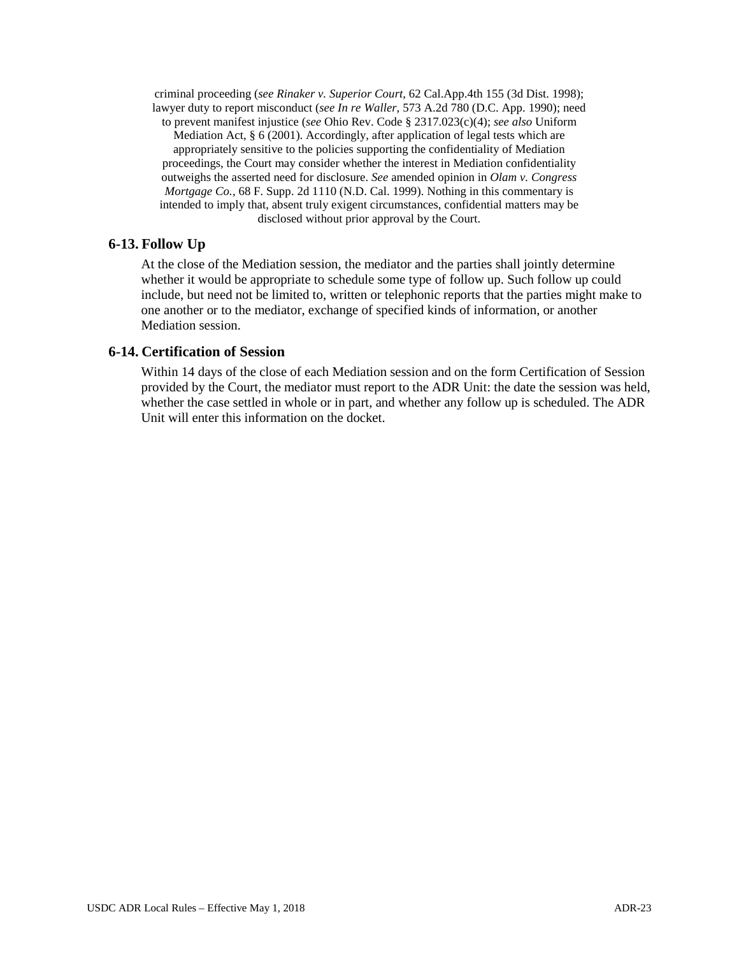criminal proceeding (*see Rinaker v. Superior Court,* 62 Cal.App.4th 155 (3d Dist. 1998); lawyer duty to report misconduct (*see In re Waller,* 573 A.2d 780 (D.C. App. 1990); need to prevent manifest injustice (*see* Ohio Rev. Code § 2317.023(c)(4); *see also* Uniform Mediation Act, § 6 (2001). Accordingly, after application of legal tests which are appropriately sensitive to the policies supporting the confidentiality of Mediation proceedings, the Court may consider whether the interest in Mediation confidentiality outweighs the asserted need for disclosure. *See* amended opinion in *Olam v. Congress Mortgage Co.,* 68 F. Supp. 2d 1110 (N.D. Cal. 1999). Nothing in this commentary is intended to imply that, absent truly exigent circumstances, confidential matters may be disclosed without prior approval by the Court.

#### <span id="page-26-0"></span>**6-13. Follow Up**

At the close of the Mediation session, the mediator and the parties shall jointly determine whether it would be appropriate to schedule some type of follow up. Such follow up could include, but need not be limited to, written or telephonic reports that the parties might make to one another or to the mediator, exchange of specified kinds of information, or another Mediation session.

## <span id="page-26-1"></span>**6-14. Certification of Session**

Within 14 days of the close of each Mediation session and on the form Certification of Session provided by the Court, the mediator must report to the ADR Unit: the date the session was held, whether the case settled in whole or in part, and whether any follow up is scheduled. The ADR Unit will enter this information on the docket.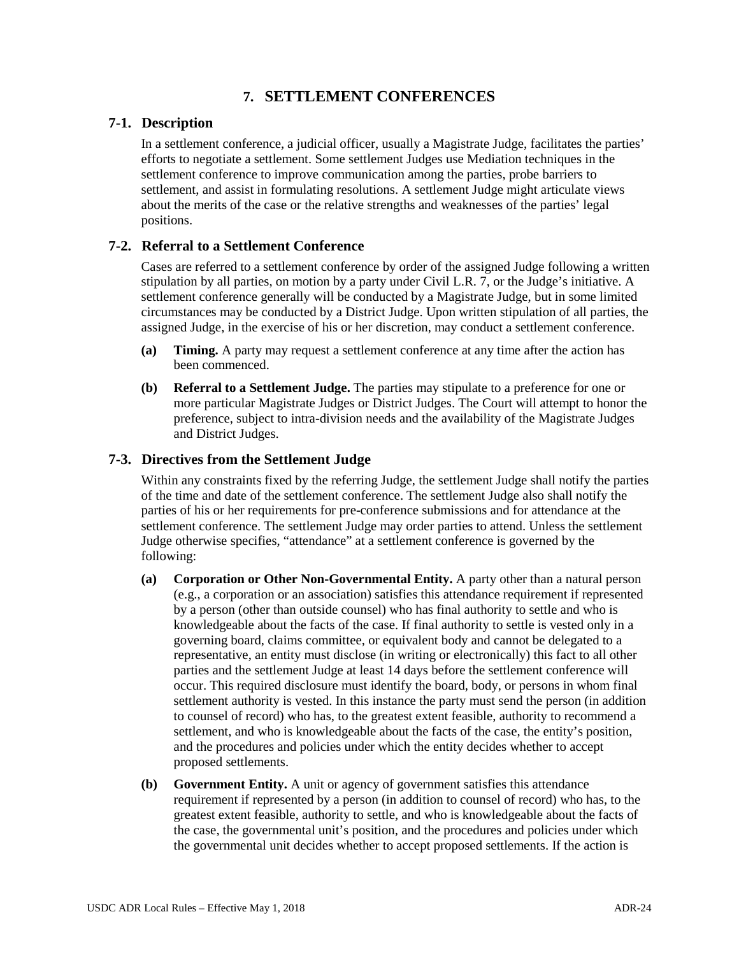## **7. SETTLEMENT CONFERENCES**

## <span id="page-27-1"></span><span id="page-27-0"></span>**7-1. Description**

In a settlement conference, a judicial officer, usually a Magistrate Judge, facilitates the parties' efforts to negotiate a settlement. Some settlement Judges use Mediation techniques in the settlement conference to improve communication among the parties, probe barriers to settlement, and assist in formulating resolutions. A settlement Judge might articulate views about the merits of the case or the relative strengths and weaknesses of the parties' legal positions.

## <span id="page-27-2"></span>**7-2. Referral to a Settlement Conference**

Cases are referred to a settlement conference by order of the assigned Judge following a written stipulation by all parties, on motion by a party under Civil L.R. 7, or the Judge's initiative. A settlement conference generally will be conducted by a Magistrate Judge, but in some limited circumstances may be conducted by a District Judge. Upon written stipulation of all parties, the assigned Judge, in the exercise of his or her discretion, may conduct a settlement conference.

- <span id="page-27-3"></span>**(a) Timing.** A party may request a settlement conference at any time after the action has been commenced.
- <span id="page-27-4"></span>**(b) Referral to a Settlement Judge.** The parties may stipulate to a preference for one or more particular Magistrate Judges or District Judges. The Court will attempt to honor the preference, subject to intra-division needs and the availability of the Magistrate Judges and District Judges.

#### <span id="page-27-5"></span>**7-3. Directives from the Settlement Judge**

Within any constraints fixed by the referring Judge, the settlement Judge shall notify the parties of the time and date of the settlement conference. The settlement Judge also shall notify the parties of his or her requirements for pre-conference submissions and for attendance at the settlement conference. The settlement Judge may order parties to attend. Unless the settlement Judge otherwise specifies, "attendance" at a settlement conference is governed by the following:

- <span id="page-27-6"></span>**(a) Corporation or Other Non-Governmental Entity.** A party other than a natural person (e.g., a corporation or an association) satisfies this attendance requirement if represented by a person (other than outside counsel) who has final authority to settle and who is knowledgeable about the facts of the case. If final authority to settle is vested only in a governing board, claims committee, or equivalent body and cannot be delegated to a representative, an entity must disclose (in writing or electronically) this fact to all other parties and the settlement Judge at least 14 days before the settlement conference will occur. This required disclosure must identify the board, body, or persons in whom final settlement authority is vested. In this instance the party must send the person (in addition to counsel of record) who has, to the greatest extent feasible, authority to recommend a settlement, and who is knowledgeable about the facts of the case, the entity's position, and the procedures and policies under which the entity decides whether to accept proposed settlements.
- <span id="page-27-7"></span>**(b) Government Entity.** A unit or agency of government satisfies this attendance requirement if represented by a person (in addition to counsel of record) who has, to the greatest extent feasible, authority to settle, and who is knowledgeable about the facts of the case, the governmental unit's position, and the procedures and policies under which the governmental unit decides whether to accept proposed settlements. If the action is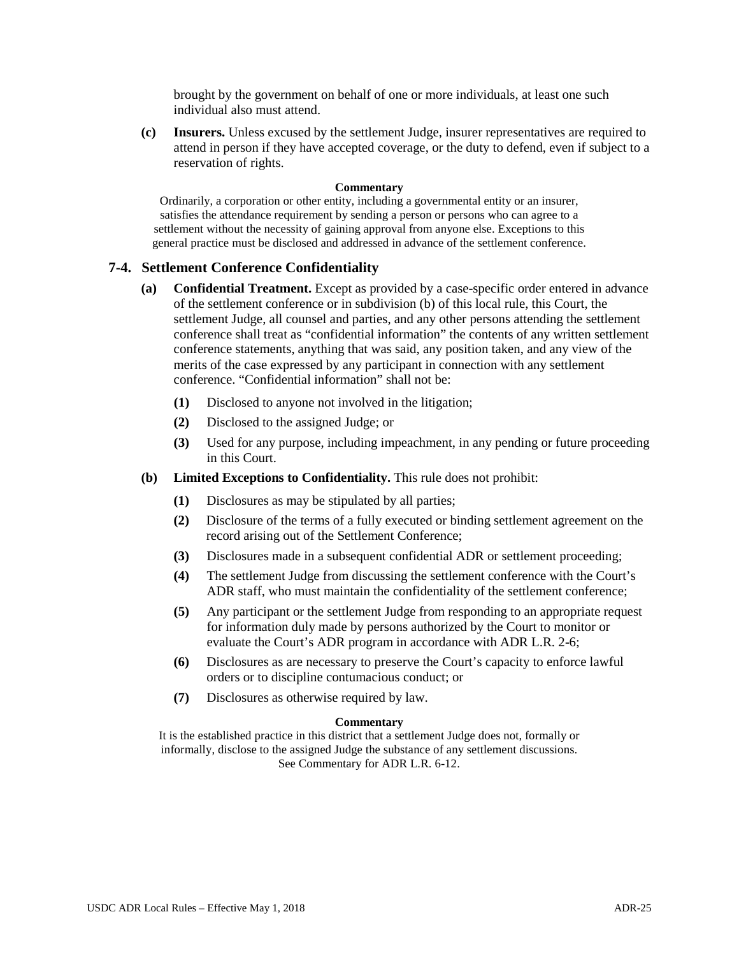brought by the government on behalf of one or more individuals, at least one such individual also must attend.

<span id="page-28-0"></span>**(c) Insurers.** Unless excused by the settlement Judge, insurer representatives are required to attend in person if they have accepted coverage, or the duty to defend, even if subject to a reservation of rights.

#### **Commentary**

Ordinarily, a corporation or other entity, including a governmental entity or an insurer, satisfies the attendance requirement by sending a person or persons who can agree to a settlement without the necessity of gaining approval from anyone else. Exceptions to this general practice must be disclosed and addressed in advance of the settlement conference.

#### <span id="page-28-2"></span><span id="page-28-1"></span>**7-4. Settlement Conference Confidentiality**

- **(a) Confidential Treatment.** Except as provided by a case-specific order entered in advance of the settlement conference or in subdivision (b) of this local rule, this Court, the settlement Judge, all counsel and parties, and any other persons attending the settlement conference shall treat as "confidential information" the contents of any written settlement conference statements, anything that was said, any position taken, and any view of the merits of the case expressed by any participant in connection with any settlement conference. "Confidential information" shall not be:
	- **(1)** Disclosed to anyone not involved in the litigation;
	- **(2)** Disclosed to the assigned Judge; or
	- **(3)** Used for any purpose, including impeachment, in any pending or future proceeding in this Court.
- <span id="page-28-3"></span>**(b) Limited Exceptions to Confidentiality.** This rule does not prohibit:
	- **(1)** Disclosures as may be stipulated by all parties;
	- **(2)** Disclosure of the terms of a fully executed or binding settlement agreement on the record arising out of the Settlement Conference;
	- **(3)** Disclosures made in a subsequent confidential ADR or settlement proceeding;
	- **(4)** The settlement Judge from discussing the settlement conference with the Court's ADR staff, who must maintain the confidentiality of the settlement conference;
	- **(5)** Any participant or the settlement Judge from responding to an appropriate request for information duly made by persons authorized by the Court to monitor or evaluate the Court's ADR program in accordance with ADR L.R. 2-6;
	- **(6)** Disclosures as are necessary to preserve the Court's capacity to enforce lawful orders or to discipline contumacious conduct; or
	- **(7)** Disclosures as otherwise required by law.

#### **Commentary**

It is the established practice in this district that a settlement Judge does not, formally or informally, disclose to the assigned Judge the substance of any settlement discussions. See Commentary for ADR L.R. 6-12.